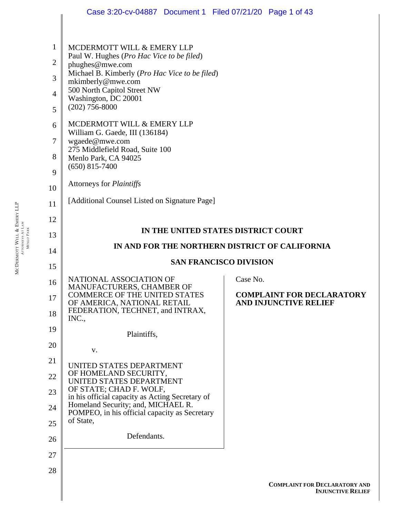|                     | Case 3:20-cv-04887  Document 1  Filed 07/21/20  Page 1 of 43                                                   |                                                                  |  |  |  |
|---------------------|----------------------------------------------------------------------------------------------------------------|------------------------------------------------------------------|--|--|--|
|                     |                                                                                                                |                                                                  |  |  |  |
| 1                   | MCDERMOTT WILL & EMERY LLP                                                                                     |                                                                  |  |  |  |
| $\overline{2}$      | Paul W. Hughes (Pro Hac Vice to be filed)<br>phughes@mwe.com<br>Michael B. Kimberly (Pro Hac Vice to be filed) |                                                                  |  |  |  |
| 3                   | mkimberly@mwe.com<br>500 North Capitol Street NW                                                               |                                                                  |  |  |  |
| $\overline{4}$<br>5 | Washington, DC 20001<br>$(202)$ 756-8000                                                                       |                                                                  |  |  |  |
| 6                   | MCDERMOTT WILL & EMERY LLP                                                                                     |                                                                  |  |  |  |
| 7                   | William G. Gaede, III (136184)<br>wgaede@mwe.com<br>275 Middlefield Road, Suite 100<br>Menlo Park, CA 94025    |                                                                  |  |  |  |
| 8                   |                                                                                                                |                                                                  |  |  |  |
| 9                   | $(650)$ 815-7400                                                                                               |                                                                  |  |  |  |
| 10                  | Attorneys for <i>Plaintiffs</i>                                                                                |                                                                  |  |  |  |
| 11                  | [Additional Counsel Listed on Signature Page]                                                                  |                                                                  |  |  |  |
| 12                  |                                                                                                                |                                                                  |  |  |  |
| 13                  | IN THE UNITED STATES DISTRICT COURT                                                                            |                                                                  |  |  |  |
| 14                  | IN AND FOR THE NORTHERN DISTRICT OF CALIFORNIA                                                                 |                                                                  |  |  |  |
| 15                  | <b>SAN FRANCISCO DIVISION</b>                                                                                  |                                                                  |  |  |  |
| 16                  | NATIONAL ASSOCIATION OF<br>MANUFACTURERS, CHAMBER OF                                                           | Case No.                                                         |  |  |  |
| 17                  | <b>COMMERCE OF THE UNITED STATES</b><br>OF AMERICA, NATIONAL RETAIL                                            | <b>COMPLAINT FOR DECLARATORY</b><br>AND INJUNCTIVE RELIEF        |  |  |  |
| 18                  | FEDERATION, TECHNET, and INTRAX,<br>INC.,                                                                      |                                                                  |  |  |  |
| 19                  | Plaintiffs,                                                                                                    |                                                                  |  |  |  |
| 20                  | V.                                                                                                             |                                                                  |  |  |  |
| 21                  | UNITED STATES DEPARTMENT                                                                                       |                                                                  |  |  |  |
| 22                  | OF HOMELAND SECURITY,<br>UNITED STATES DEPARTMENT<br>OF STATE; CHAD F. WOLF,                                   |                                                                  |  |  |  |
| 23                  | in his official capacity as Acting Secretary of<br>Homeland Security; and, MICHAEL R.                          |                                                                  |  |  |  |
| 24<br>25            | POMPEO, in his official capacity as Secretary<br>of State,                                                     |                                                                  |  |  |  |
| 26                  | Defendants.                                                                                                    |                                                                  |  |  |  |
| 27                  |                                                                                                                |                                                                  |  |  |  |
| 28                  |                                                                                                                |                                                                  |  |  |  |
|                     |                                                                                                                | <b>COMPLAINT FOR DECLARATORY AND</b><br><b>INJUNCTIVE RELIEF</b> |  |  |  |
|                     |                                                                                                                |                                                                  |  |  |  |

MCDERMOTT WILL & EMERY LLP ATTORNEYS AT LAW MENLO PARK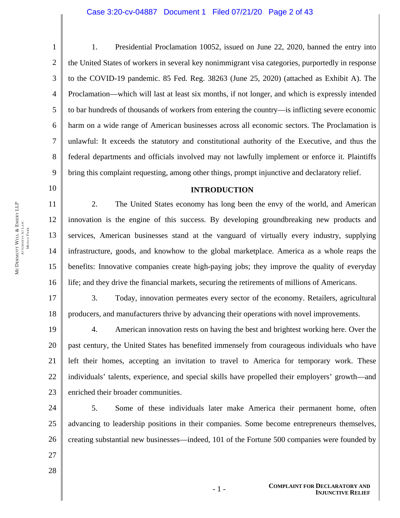1. Presidential Proclamation 10052, issued on June 22, 2020, banned the entry into the United States of workers in several key nonimmigrant visa categories, purportedly in response to the COVID-19 pandemic. 85 Fed. Reg. 38263 (June 25, 2020) (attached as Exhibit A). The Proclamation—which will last at least six months, if not longer, and which is expressly intended to bar hundreds of thousands of workers from entering the country—is inflicting severe economic harm on a wide range of American businesses across all economic sectors. The Proclamation is unlawful: It exceeds the statutory and constitutional authority of the Executive, and thus the federal departments and officials involved may not lawfully implement or enforce it. Plaintiffs bring this complaint requesting, among other things, prompt injunctive and declaratory relief.

### **INTRODUCTION**

11 12 13 14 15 16 2. The United States economy has long been the envy of the world, and American innovation is the engine of this success. By developing groundbreaking new products and services, American businesses stand at the vanguard of virtually every industry, supplying infrastructure, goods, and knowhow to the global marketplace. America as a whole reaps the benefits: Innovative companies create high-paying jobs; they improve the quality of everyday life; and they drive the financial markets, securing the retirements of millions of Americans.

17 18 3. Today, innovation permeates every sector of the economy. Retailers, agricultural producers, and manufacturers thrive by advancing their operations with novel improvements.

19 20 21 22 23 4. American innovation rests on having the best and brightest working here. Over the past century, the United States has benefited immensely from courageous individuals who have left their homes, accepting an invitation to travel to America for temporary work. These individuals' talents, experience, and special skills have propelled their employers' growth—and enriched their broader communities.

24 25 26 5. Some of these individuals later make America their permanent home, often advancing to leadership positions in their companies. Some become entrepreneurs themselves, creating substantial new businesses—indeed, 101 of the Fortune 500 companies were founded by

- 27
- 28

1

2

3

4

5

6

7

8

9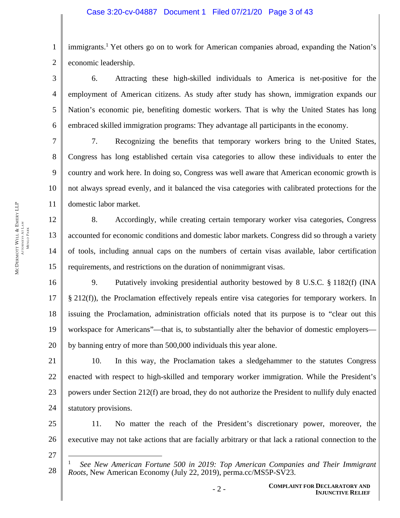2 immigrants.<sup>1</sup> Yet others go on to work for American companies abroad, expanding the Nation's economic leadership.

3 4 5 6 6. Attracting these high-skilled individuals to America is net-positive for the employment of American citizens. As study after study has shown, immigration expands our Nation's economic pie, benefiting domestic workers. That is why the United States has long embraced skilled immigration programs: They advantage all participants in the economy.

7 8 9 10 11 7. Recognizing the benefits that temporary workers bring to the United States, Congress has long established certain visa categories to allow these individuals to enter the country and work here. In doing so, Congress was well aware that American economic growth is not always spread evenly, and it balanced the visa categories with calibrated protections for the domestic labor market.

8. Accordingly, while creating certain temporary worker visa categories, Congress accounted for economic conditions and domestic labor markets. Congress did so through a variety of tools, including annual caps on the numbers of certain visas available, labor certification requirements, and restrictions on the duration of nonimmigrant visas.

16 17 18 19 20 9. Putatively invoking presidential authority bestowed by 8 U.S.C. § 1182(f) (INA § 212(f)), the Proclamation effectively repeals entire visa categories for temporary workers. In issuing the Proclamation, administration officials noted that its purpose is to "clear out this workspace for Americans"—that is, to substantially alter the behavior of domestic employers by banning entry of more than 500,000 individuals this year alone.

21 22 23 24 10. In this way, the Proclamation takes a sledgehammer to the statutes Congress enacted with respect to high-skilled and temporary worker immigration. While the President's powers under Section 212(f) are broad, they do not authorize the President to nullify duly enacted statutory provisions.

25 26 11. No matter the reach of the President's discretionary power, moreover, the executive may not take actions that are facially arbitrary or that lack a rational connection to the

27

 $\overline{a}$ 

12

13

14

15

<sup>28</sup>  1 *See New American Fortune 500 in 2019: Top American Companies and Their Immigrant Roots*, New American Economy (July 22, 2019), perma.cc/MS5P-SV23.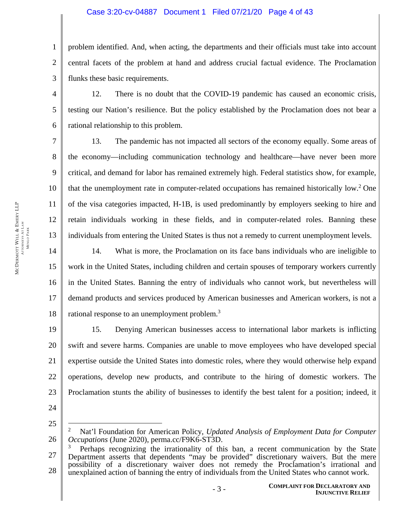# Case 3:20-cv-04887 Document 1 Filed 07/21/20 Page 4 of 43

1 2 3 problem identified. And, when acting, the departments and their officials must take into account central facets of the problem at hand and address crucial factual evidence. The Proclamation flunks these basic requirements.

12. There is no doubt that the COVID-19 pandemic has caused an economic crisis, testing our Nation's resilience. But the policy established by the Proclamation does not bear a rational relationship to this problem.

7 8 9 10 11 12 13 13. The pandemic has not impacted all sectors of the economy equally. Some areas of the economy—including communication technology and healthcare—have never been more critical, and demand for labor has remained extremely high. Federal statistics show, for example, that the unemployment rate in computer-related occupations has remained historically low.<sup>2</sup> One of the visa categories impacted, H-1B, is used predominantly by employers seeking to hire and retain individuals working in these fields, and in computer-related roles. Banning these individuals from entering the United States is thus not a remedy to current unemployment levels.

14 15 16 17 18 14. What is more, the Proclamation on its face bans individuals who are ineligible to work in the United States, including children and certain spouses of temporary workers currently in the United States. Banning the entry of individuals who cannot work, but nevertheless will demand products and services produced by American businesses and American workers, is not a rational response to an unemployment problem.<sup>3</sup>

19 20 21 22 23 15. Denying American businesses access to international labor markets is inflicting swift and severe harms. Companies are unable to move employees who have developed special expertise outside the United States into domestic roles, where they would otherwise help expand operations, develop new products, and contribute to the hiring of domestic workers. The Proclamation stunts the ability of businesses to identify the best talent for a position; indeed, it

24

25

 $\overline{a}$ 

4

5

<sup>26</sup>  2 Nat'l Foundation for American Policy, *Updated Analysis of Employment Data for Computer Occupations* (June 2020), perma.cc/F9K6-ST3D.

<sup>27</sup>  28 3 Perhaps recognizing the irrationality of this ban, a recent communication by the State Department asserts that dependents "may be provided" discretionary waivers. But the mere possibility of a discretionary waiver does not remedy the Proclamation's irrational and unexplained action of banning the entry of individuals from the United States who cannot work.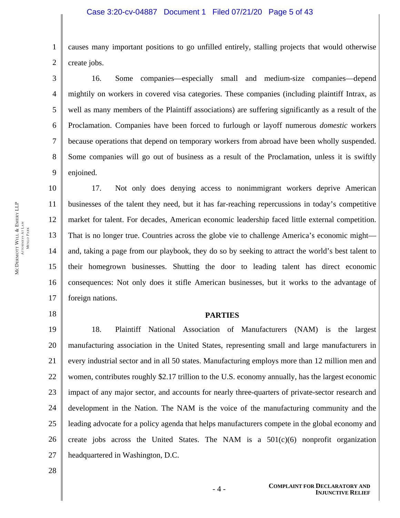2 causes many important positions to go unfilled entirely, stalling projects that would otherwise create jobs.

3 4 5 6 7 8 9 16. Some companies—especially small and medium-size companies—depend mightily on workers in covered visa categories. These companies (including plaintiff Intrax, as well as many members of the Plaintiff associations) are suffering significantly as a result of the Proclamation. Companies have been forced to furlough or layoff numerous *domestic* workers because operations that depend on temporary workers from abroad have been wholly suspended. Some companies will go out of business as a result of the Proclamation, unless it is swiftly enjoined.

MCDERMOTT WILL & EMERY LLP ATTORNEYS AT LAW MENLO PARK

10 11 12 13 14 15 16 17 17. Not only does denying access to nonimmigrant workers deprive American businesses of the talent they need, but it has far-reaching repercussions in today's competitive market for talent. For decades, American economic leadership faced little external competition. That is no longer true. Countries across the globe vie to challenge America's economic might and, taking a page from our playbook, they do so by seeking to attract the world's best talent to their homegrown businesses. Shutting the door to leading talent has direct economic consequences: Not only does it stifle American businesses, but it works to the advantage of foreign nations.

# 18

1

### **PARTIES**

19 20 21 22 23 24 25 26 27 18. Plaintiff National Association of Manufacturers (NAM) is the largest manufacturing association in the United States, representing small and large manufacturers in every industrial sector and in all 50 states. Manufacturing employs more than 12 million men and women, contributes roughly \$2.17 trillion to the U.S. economy annually, has the largest economic impact of any major sector, and accounts for nearly three-quarters of private-sector research and development in the Nation. The NAM is the voice of the manufacturing community and the leading advocate for a policy agenda that helps manufacturers compete in the global economy and create jobs across the United States. The NAM is a  $501(c)(6)$  nonprofit organization headquartered in Washington, D.C.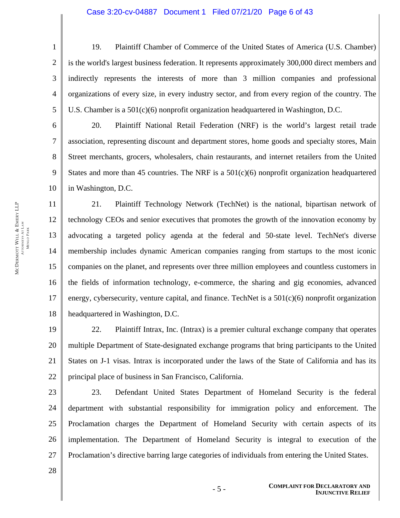19. Plaintiff Chamber of Commerce of the United States of America (U.S. Chamber) is the world's largest business federation. It represents approximately 300,000 direct members and indirectly represents the interests of more than 3 million companies and professional organizations of every size, in every industry sector, and from every region of the country. The U.S. Chamber is a 501(c)(6) nonprofit organization headquartered in Washington, D.C.

6 7 8 9 10 20. Plaintiff National Retail Federation (NRF) is the world's largest retail trade association, representing discount and department stores, home goods and specialty stores, Main Street merchants, grocers, wholesalers, chain restaurants, and internet retailers from the United States and more than 45 countries. The NRF is a  $501(c)(6)$  nonprofit organization headquartered in Washington, D.C.

11 12 13 14 15 16 17 18 21. Plaintiff Technology Network (TechNet) is the national, bipartisan network of technology CEOs and senior executives that promotes the growth of the innovation economy by advocating a targeted policy agenda at the federal and 50-state level. TechNet's diverse membership includes dynamic American companies ranging from startups to the most iconic companies on the planet, and represents over three million employees and countless customers in the fields of information technology, e-commerce, the sharing and gig economies, advanced energy, cybersecurity, venture capital, and finance. TechNet is a 501(c)(6) nonprofit organization headquartered in Washington, D.C.

19 20 21 22 22. Plaintiff Intrax, Inc. (Intrax) is a premier cultural exchange company that operates multiple Department of State-designated exchange programs that bring participants to the United States on J-1 visas. Intrax is incorporated under the laws of the State of California and has its principal place of business in San Francisco, California.

23 24 25 26 27 23. Defendant United States Department of Homeland Security is the federal department with substantial responsibility for immigration policy and enforcement. The Proclamation charges the Department of Homeland Security with certain aspects of its implementation. The Department of Homeland Security is integral to execution of the Proclamation's directive barring large categories of individuals from entering the United States.

1

2

3

4

5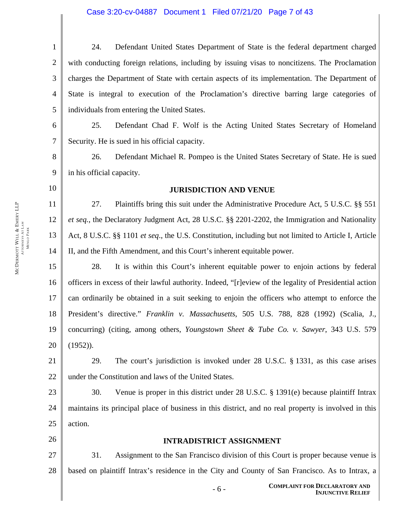# Case 3:20-cv-04887 Document 1 Filed 07/21/20 Page 7 of 43

| 1              | Defendant United States Department of State is the federal department charged<br>24.           |  |  |
|----------------|------------------------------------------------------------------------------------------------|--|--|
| 2 <sup>1</sup> | with conducting foreign relations, including by issuing visas to noncitizens. The Proclamation |  |  |
| 3 <sup>1</sup> | charges the Department of State with certain aspects of its implementation. The Department of  |  |  |
| 4 <sup>1</sup> | State is integral to execution of the Proclamation's directive barring large categories of     |  |  |
| 5 <sub>1</sub> | individuals from entering the United States.                                                   |  |  |
| 6 <sup>1</sup> | Defendant Chad F. Wolf is the Acting United States Secretary of Homeland<br>25.                |  |  |

Security. He is sued in his official capacity.

8 9 26. Defendant Michael R. Pompeo is the United States Secretary of State. He is sued in his official capacity.

10

11

12

13

14

7

### **JURISDICTION AND VENUE**

27. Plaintiffs bring this suit under the Administrative Procedure Act, 5 U.S.C. §§ 551 *et seq.*, the Declaratory Judgment Act, 28 U.S.C. §§ 2201-2202, the Immigration and Nationality Act, 8 U.S.C. §§ 1101 *et seq*., the U.S. Constitution, including but not limited to Article I, Article II, and the Fifth Amendment, and this Court's inherent equitable power.

15 16 17 18 19 20 28. It is within this Court's inherent equitable power to enjoin actions by federal officers in excess of their lawful authority. Indeed, "[r]eview of the legality of Presidential action can ordinarily be obtained in a suit seeking to enjoin the officers who attempt to enforce the President's directive." *Franklin v. Massachusetts*, 505 U.S. 788, 828 (1992) (Scalia, J., concurring) (citing, among others, *Youngstown Sheet & Tube Co. v. Sawyer*, 343 U.S. 579 (1952)).

21 22 29. The court's jurisdiction is invoked under 28 U.S.C. § 1331, as this case arises under the Constitution and laws of the United States.

23 24 25 30. Venue is proper in this district under 28 U.S.C. § 1391(e) because plaintiff Intrax maintains its principal place of business in this district, and no real property is involved in this action.

26

# **INTRADISTRICT ASSIGNMENT**

27 28 31. Assignment to the San Francisco division of this Court is proper because venue is based on plaintiff Intrax's residence in the City and County of San Francisco. As to Intrax, a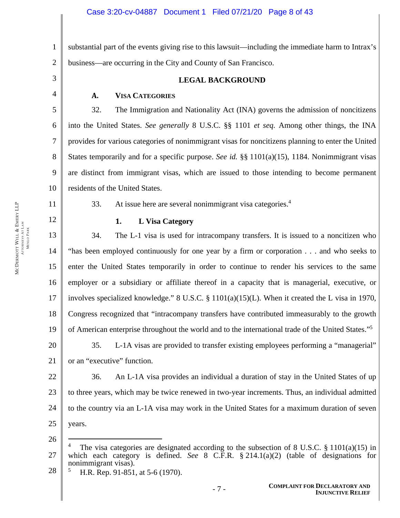1 2 substantial part of the events giving rise to this lawsuit—including the immediate harm to Intrax's business—are occurring in the City and County of San Francisco.

3 4

5

6

7

8

9

10

11

12

# **LEGAL BACKGROUND**

# **A. VISA CATEGORIES**

32. The Immigration and Nationality Act (INA) governs the admission of noncitizens into the United States. *See generally* 8 U.S.C. §§ 1101 *et seq.* Among other things, the INA provides for various categories of nonimmigrant visas for noncitizens planning to enter the United States temporarily and for a specific purpose. *See id.* §§ 1101(a)(15), 1184. Nonimmigrant visas are distinct from immigrant visas, which are issued to those intending to become permanent residents of the United States.

33. At issue here are several nonimmigrant visa categories. $4$ 

# **1. L Visa Category**

13 14 15 16 17 18 19 20 34. The L-1 visa is used for intracompany transfers. It is issued to a noncitizen who "has been employed continuously for one year by a firm or corporation . . . and who seeks to enter the United States temporarily in order to continue to render his services to the same employer or a subsidiary or affiliate thereof in a capacity that is managerial, executive, or involves specialized knowledge." 8 U.S.C. § 1101(a)(15)(L). When it created the L visa in 1970, Congress recognized that "intracompany transfers have contributed immeasurably to the growth of American enterprise throughout the world and to the international trade of the United States."5 35. L-1A visas are provided to transfer existing employees performing a "managerial"

21 or an "executive" function.

22 23 24 25 36. An L-1A visa provides an individual a duration of stay in the United States of up to three years, which may be twice renewed in two-year increments. Thus, an individual admitted to the country via an L-1A visa may work in the United States for a maximum duration of seven years.

26

 $\overline{a}$ 

28 5 H.R. Rep. 91-851, at 5-6 (1970).

<sup>27</sup>  4 The visa categories are designated according to the subsection of 8 U.S.C. § 1101(a)(15) in which each category is defined. *See* 8 C.F.R. § 214.1(a)(2) (table of designations for nonimmigrant visas).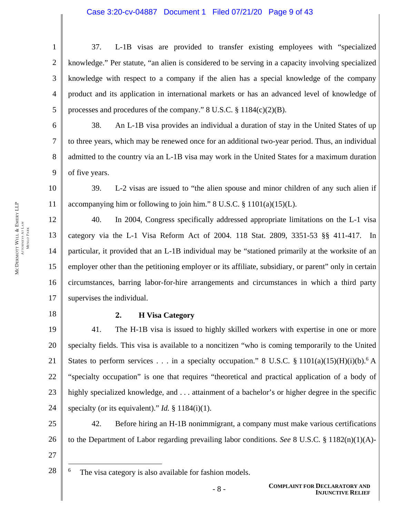### Case 3:20-cv-04887 Document 1 Filed 07/21/20 Page 9 of 43

37. L-1B visas are provided to transfer existing employees with "specialized knowledge." Per statute, "an alien is considered to be serving in a capacity involving specialized knowledge with respect to a company if the alien has a special knowledge of the company product and its application in international markets or has an advanced level of knowledge of processes and procedures of the company." 8 U.S.C. § 1184(c)(2)(B).

38. An L-1B visa provides an individual a duration of stay in the United States of up to three years, which may be renewed once for an additional two-year period. Thus, an individual admitted to the country via an L-1B visa may work in the United States for a maximum duration of five years.

39. L-2 visas are issued to "the alien spouse and minor children of any such alien if accompanying him or following to join him."  $8 \text{ U.S.C.} \$   $1101(a)(15)(L)$ .

40. In 2004, Congress specifically addressed appropriate limitations on the L-1 visa category via the L-1 Visa Reform Act of 2004. 118 Stat. 2809, 3351-53 §§ 411-417. In particular, it provided that an L-1B individual may be "stationed primarily at the worksite of an employer other than the petitioning employer or its affiliate, subsidiary, or parent" only in certain circumstances, barring labor-for-hire arrangements and circumstances in which a third party supervises the individual.

18

17

1

2

3

4

5

6

7

8

9

10

11

12

13

14

15

16

### **2. H Visa Category**

19 20 21 22 23 24 41. The H-1B visa is issued to highly skilled workers with expertise in one or more specialty fields. This visa is available to a noncitizen "who is coming temporarily to the United States to perform services . . . in a specialty occupation." 8 U.S.C. § 1101(a)(15)(H)(i)(b).<sup>6</sup> A "specialty occupation" is one that requires "theoretical and practical application of a body of highly specialized knowledge, and ... attainment of a bachelor's or higher degree in the specific specialty (or its equivalent)." *Id.* § 1184(i)(1).

25 26 42. Before hiring an H-1B nonimmigrant, a company must make various certifications to the Department of Labor regarding prevailing labor conditions. *See* 8 U.S.C. § 1182(n)(1)(A)-

27 28

 $\overline{a}$ 

<sup>6</sup> The visa category is also available for fashion models.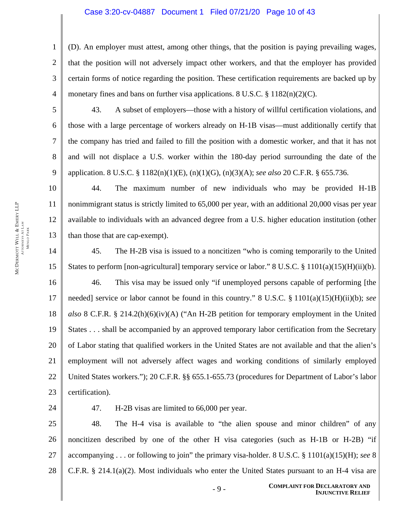### Case 3:20-cv-04887 Document 1 Filed 07/21/20 Page 10 of 43

(D). An employer must attest, among other things, that the position is paying prevailing wages, that the position will not adversely impact other workers, and that the employer has provided certain forms of notice regarding the position. These certification requirements are backed up by monetary fines and bans on further visa applications. 8 U.S.C.  $\S 1182(n)(2)(C)$ .

5

1

2

3

4

6

7

8

9

43. A subset of employers—those with a history of willful certification violations, and those with a large percentage of workers already on H-1B visas—must additionally certify that the company has tried and failed to fill the position with a domestic worker, and that it has not and will not displace a U.S. worker within the 180-day period surrounding the date of the application. 8 U.S.C. § 1182(n)(1)(E), (n)(1)(G), (n)(3)(A); *see also* 20 C.F.R. § 655.736.

10 11 12 13 44. The maximum number of new individuals who may be provided H-1B nonimmigrant status is strictly limited to 65,000 per year, with an additional 20,000 visas per year available to individuals with an advanced degree from a U.S. higher education institution (other than those that are cap-exempt).

14 15 16 17 18 19 20 21 22 23 45. The H-2B visa is issued to a noncitizen "who is coming temporarily to the United States to perform [non-agricultural] temporary service or labor." 8 U.S.C. § 1101(a)(15)(H)(ii)(b). 46. This visa may be issued only "if unemployed persons capable of performing [the needed] service or labor cannot be found in this country." 8 U.S.C. § 1101(a)(15)(H)(ii)(b); *see also* 8 C.F.R. § 214.2(h)(6)(iv)(A) ("An H-2B petition for temporary employment in the United States . . . shall be accompanied by an approved temporary labor certification from the Secretary of Labor stating that qualified workers in the United States are not available and that the alien's employment will not adversely affect wages and working conditions of similarly employed United States workers."); 20 C.F.R. §§ 655.1-655.73 (procedures for Department of Labor's labor certification).

24

47. H-2B visas are limited to 66,000 per year.

25 26 27 28 48. The H-4 visa is available to "the alien spouse and minor children" of any noncitizen described by one of the other H visa categories (such as H-1B or H-2B) "if accompanying . . . or following to join" the primary visa-holder. 8 U.S.C. § 1101(a)(15)(H); *see* 8 C.F.R. § 214.1(a)(2). Most individuals who enter the United States pursuant to an H-4 visa are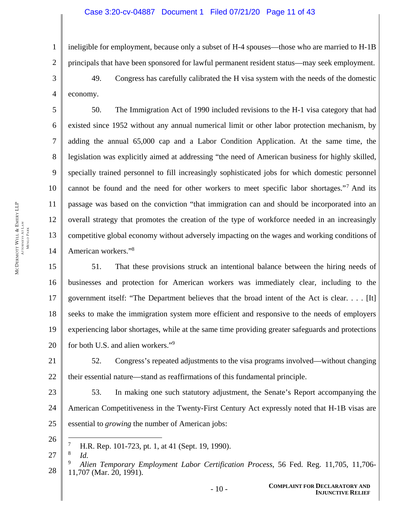ineligible for employment, because only a subset of H-4 spouses—those who are married to H-1B principals that have been sponsored for lawful permanent resident status—may seek employment.

49. Congress has carefully calibrated the H visa system with the needs of the domestic economy.

50. The Immigration Act of 1990 included revisions to the H-1 visa category that had existed since 1952 without any annual numerical limit or other labor protection mechanism, by adding the annual 65,000 cap and a Labor Condition Application. At the same time, the legislation was explicitly aimed at addressing "the need of American business for highly skilled, specially trained personnel to fill increasingly sophisticated jobs for which domestic personnel cannot be found and the need for other workers to meet specific labor shortages."7 And its passage was based on the conviction "that immigration can and should be incorporated into an overall strategy that promotes the creation of the type of workforce needed in an increasingly competitive global economy without adversely impacting on the wages and working conditions of American workers."8

15 16 17 18 19 20 51. That these provisions struck an intentional balance between the hiring needs of businesses and protection for American workers was immediately clear, including to the government itself: "The Department believes that the broad intent of the Act is clear. . . . [It] seeks to make the immigration system more efficient and responsive to the needs of employers experiencing labor shortages, while at the same time providing greater safeguards and protections for both U.S. and alien workers."9

21 22 52. Congress's repeated adjustments to the visa programs involved—without changing their essential nature—stand as reaffirmations of this fundamental principle.

23 24 25 53. In making one such statutory adjustment, the Senate's Report accompanying the American Competitiveness in the Twenty-First Century Act expressly noted that H-1B visas are essential to *growing* the number of American jobs:

26

 $\overline{a}$ 

*Id.*

1

2

3

4

5

6

7

8

9

10

11

12

13

<sup>7</sup> H.R. Rep. 101-723, pt. 1, at 41 (Sept. 19, 1990).

<sup>27</sup>  8

<sup>28</sup>  9 *Alien Temporary Employment Labor Certification Process*, 56 Fed. Reg. 11,705, 11,706- 11,707 (Mar. 20, 1991).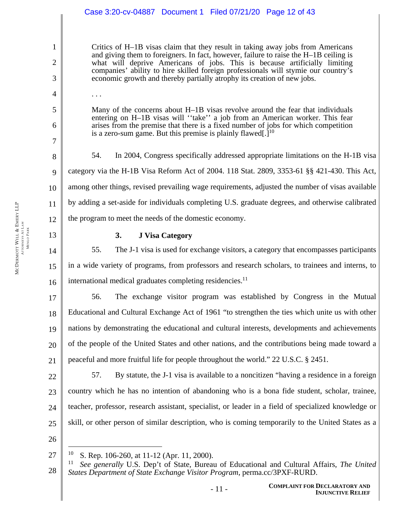### 1 2 3 4 5 6 7 8 9 10 11 12 13 14 15 16 17 18 19 20 21 22 23 24 25 26 27 Critics of H–1B visas claim that they result in taking away jobs from Americans and giving them to foreigners. In fact, however, failure to raise the H–1B ceiling is what will deprive Americans of jobs. This is because artificially limiting companies' ability to hire skilled foreign professionals will stymie our country's economic growth and thereby partially atrophy its creation of new jobs. . . . Many of the concerns about H–1B visas revolve around the fear that individuals entering on H–1B visas will ''take'' a job from an American worker. This fear arises from the premise that there is a fixed number of jobs for which competition is a zero-sum game. But this premise is plainly flawed.  $1^{10}$ 54. In 2004, Congress specifically addressed appropriate limitations on the H-1B visa category via the H-1B Visa Reform Act of 2004. 118 Stat. 2809, 3353-61 §§ 421-430. This Act, among other things, revised prevailing wage requirements, adjusted the number of visas available by adding a set-aside for individuals completing U.S. graduate degrees, and otherwise calibrated the program to meet the needs of the domestic economy. **3. J Visa Category**  55. The J-1 visa is used for exchange visitors, a category that encompasses participants in a wide variety of programs, from professors and research scholars, to trainees and interns, to international medical graduates completing residencies.<sup>11</sup> 56. The exchange visitor program was established by Congress in the Mutual Educational and Cultural Exchange Act of 1961 "to strengthen the ties which unite us with other nations by demonstrating the educational and cultural interests, developments and achievements of the people of the United States and other nations, and the contributions being made toward a peaceful and more fruitful life for people throughout the world." 22 U.S.C. § 2451. 57. By statute, the J-1 visa is available to a noncitizen "having a residence in a foreign country which he has no intention of abandoning who is a bona fide student, scholar, trainee, teacher, professor, research assistant, specialist, or leader in a field of specialized knowledge or skill, or other person of similar description, who is coming temporarily to the United States as a  $\overline{a}$ <sup>10</sup> S. Rep. 106-260, at 11-12 (Apr. 11, 2000). Case 3:20-cv-04887 Document 1 Filed 07/21/20 Page 12 of 43

28 11 *See generally* U.S. Dep't of State, Bureau of Educational and Cultural Affairs, *The United States Department of State Exchange Visitor Program*, perma.cc/3PXF-RURD.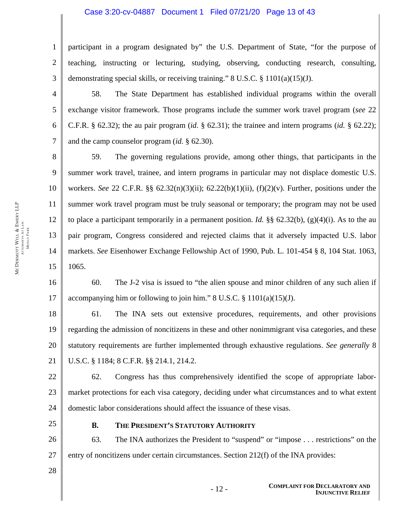# Case 3:20-cv-04887 Document 1 Filed 07/21/20 Page 13 of 43

participant in a program designated by" the U.S. Department of State, "for the purpose of teaching, instructing or lecturing, studying, observing, conducting research, consulting, demonstrating special skills, or receiving training." 8 U.S.C. § 1101(a)(15)(J).

58. The State Department has established individual programs within the overall exchange visitor framework. Those programs include the summer work travel program (*see* 22 C.F.R. § 62.32); the au pair program (*id.* § 62.31); the trainee and intern programs (*id.* § 62.22); and the camp counselor program (*id.* § 62.30).

8 9 10 12 14 59. The governing regulations provide, among other things, that participants in the summer work travel, trainee, and intern programs in particular may not displace domestic U.S. workers. *See* 22 C.F.R. §§ 62.32(n)(3)(ii); 62.22(b)(1)(ii), (f)(2)(v). Further, positions under the summer work travel program must be truly seasonal or temporary; the program may not be used to place a participant temporarily in a permanent position. *Id.*  $\S$  62.32(b), (g)(4)(i). As to the au pair program, Congress considered and rejected claims that it adversely impacted U.S. labor markets. *See* Eisenhower Exchange Fellowship Act of 1990, Pub. L. 101-454 § 8, 104 Stat. 1063, 1065.

16 17 60. The J-2 visa is issued to "the alien spouse and minor children of any such alien if accompanying him or following to join him." 8 U.S.C. § 1101(a)(15)(J).

18 19 20 21 61. The INA sets out extensive procedures, requirements, and other provisions regarding the admission of noncitizens in these and other nonimmigrant visa categories, and these statutory requirements are further implemented through exhaustive regulations. *See generally* 8 U.S.C. § 1184; 8 C.F.R. §§ 214.1, 214.2.

22 23 24 62. Congress has thus comprehensively identified the scope of appropriate labormarket protections for each visa category, deciding under what circumstances and to what extent domestic labor considerations should affect the issuance of these visas.

- 25
- **B. THE PRESIDENT'S STATUTORY AUTHORITY**

26 63. The INA authorizes the President to "suspend" or "impose . . . restrictions" on the entry of noncitizens under certain circumstances. Section 212(f) of the INA provides:

MCDERMOTT

WILL &

ATTORNEYS AT LAW MENLO PARK 1

2

3

4

5

6

7

11

13

15

EMERY LLP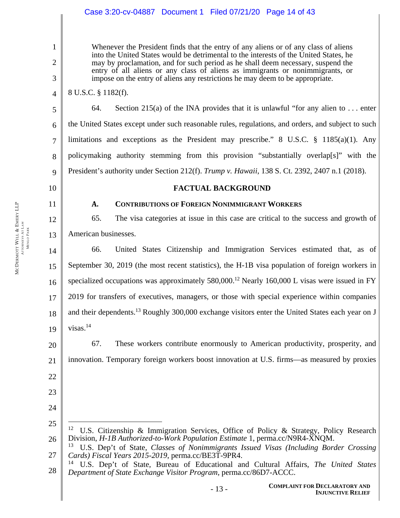# Case 3:20-cv-04887 Document 1 Filed 07/21/20 Page 14 of 43

Whenever the President finds that the entry of any aliens or of any class of aliens into the United States would be detrimental to the interests of the United States, he may by proclamation, and for such period as he shall deem necessary, suspend the entry of all aliens or any class of aliens as immigrants or nonimmigrants, or impose on the entry of aliens any restrictions he may deem to be appropriate.

8 U.S.C. § 1182(f).

64. Section 215(a) of the INA provides that it is unlawful "for any alien to  $\dots$  enter the United States except under such reasonable rules, regulations, and orders, and subject to such limitations and exceptions as the President may prescribe." 8 U.S.C. § 1185(a)(1). Any policymaking authority stemming from this provision "substantially overlap[s]" with the President's authority under Section 212(f). *Trump v. Hawaii*, 138 S. Ct. 2392, 2407 n.1 (2018).

10

11

22

23

24

 $\overline{a}$ 

1

2

3

4

5

6

7

8

9

# **FACTUAL BACKGROUND**

# **A. CONTRIBUTIONS OF FOREIGN NONIMMIGRANT WORKERS**

12 13 65. The visa categories at issue in this case are critical to the success and growth of American businesses.

14 15 16 17 18 19 66. United States Citizenship and Immigration Services estimated that, as of September 30, 2019 (the most recent statistics), the H-1B visa population of foreign workers in specialized occupations was approximately  $580,000$ .<sup>12</sup> Nearly 160,000 L visas were issued in FY 2019 for transfers of executives, managers, or those with special experience within companies and their dependents.<sup>13</sup> Roughly 300,000 exchange visitors enter the United States each year on J visas. $14$ 

20 21 67. These workers contribute enormously to American productivity, prosperity, and innovation. Temporary foreign workers boost innovation at U.S. firms—as measured by proxies

<sup>25</sup>  26 <sup>12</sup> U.S. Citizenship & Immigration Services, Office of Policy & Strategy, Policy Research Division, *H-1B Authorized-to-Work Population Estimate* 1, perma.cc/N9R4-XNQM.

<sup>27</sup>  13 U.S. Dep't of State, *Classes of Nonimmigrants Issued Visas (Including Border Crossing Cards) Fiscal Years 2015-2019*, perma.cc/BE3T-9PR4.

<sup>28</sup>  14 U.S. Dep't of State, Bureau of Educational and Cultural Affairs, *The United States Department of State Exchange Visitor Program*, perma.cc/86D7-ACCC.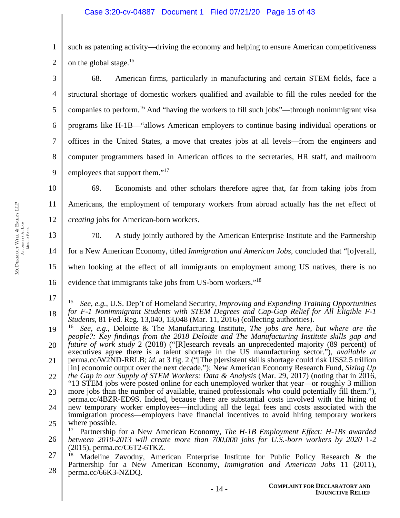1 2 such as patenting activity—driving the economy and helping to ensure American competitiveness on the global stage.15

3 4 5 6 7 8 9 68. American firms, particularly in manufacturing and certain STEM fields, face a structural shortage of domestic workers qualified and available to fill the roles needed for the companies to perform.<sup>16</sup> And "having the workers to fill such jobs"—through nonimmigrant visa programs like H-1B—"allows American employers to continue basing individual operations or offices in the United States, a move that creates jobs at all levels—from the engineers and computer programmers based in American offices to the secretaries, HR staff, and mailroom employees that support them."<sup>17</sup>

10 11 12 69. Economists and other scholars therefore agree that, far from taking jobs from Americans, the employment of temporary workers from abroad actually has the net effect of *creating* jobs for American-born workers.

13 14 15 16 70. A study jointly authored by the American Enterprise Institute and the Partnership for a New American Economy, titled *Immigration and American Jobs*, concluded that "[o]verall, when looking at the effect of all immigrants on employment among US natives, there is no evidence that immigrants take jobs from US-born workers."<sup>18</sup>

<sup>17</sup>  18  $\overline{a}$ 15 *See, e.g.*, U.S. Dep't of Homeland Security, *Improving and Expanding Training Opportunities for F-1 Nonimmigrant Students with STEM Degrees and Cap-Gap Relief for All Eligible F-1 Students*, 81 Fed. Reg. 13,040, 13,048 (Mar. 11, 2016) (collecting authorities).

<sup>19</sup>  20 21 22 23 24 16 *See, e.g.*, Deloitte & The Manufacturing Institute, *The jobs are here, but where are the people?: Key findings from the 2018 Deloitte and The Manufacturing Institute skills gap and future of work study* 2 (2018) ("[R]esearch reveals an unprecedented majority (89 percent) of executives agree there is a talent shortage in the US manufacturing sector."), *available at* perma.cc/W2ND-RRLB; *id.* at 3 fig. 2 ("[The p]ersistent skills shortage could risk US\$2.5 trillion [in] economic output over the next decade."); New American Economy Research Fund, *Sizing Up the Gap in our Supply of STEM Workers: Data & Analysis* (Mar. 29, 2017) (noting that in 2016, "13 STEM jobs were posted online for each unemployed worker that year—or roughly 3 million more jobs than the number of available, trained professionals who could potentially fill them."), perma.cc/4BZR-ED9S. Indeed, because there are substantial costs involved with the hiring of new temporary worker employees—including all the legal fees and costs associated with the

<sup>25</sup>  immigration process—employers have financial incentives to avoid hiring temporary workers where possible.

<sup>26</sup>  17 Partnership for a New American Economy, *The H-1B Employment Effect: H-1Bs awarded between 2010-2013 will create more than 700,000 jobs for U.S.-born workers by 2020* 1-2 (2015), perma.cc/C6T2-6TKZ.

<sup>27</sup>  28 Madeline Zavodny, American Enterprise Institute for Public Policy Research & the Partnership for a New American Economy, *Immigration and American Jobs* 11 (2011), perma.cc/66K3-NZDQ.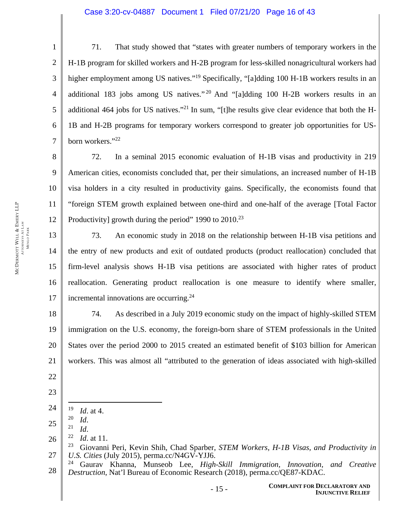### Case 3:20-cv-04887 Document 1 Filed 07/21/20 Page 16 of 43

1 2 3 4 5 6 7 71. That study showed that "states with greater numbers of temporary workers in the H-1B program for skilled workers and H-2B program for less-skilled nonagricultural workers had higher employment among US natives."<sup>19</sup> Specifically, "[a]dding 100 H-1B workers results in an additional 183 jobs among US natives."<sup>20</sup> And "[a]dding 100 H-2B workers results in an additional 464 jobs for US natives."<sup>21</sup> In sum, "[t]he results give clear evidence that both the H-1B and H-2B programs for temporary workers correspond to greater job opportunities for USborn workers."<sup>22</sup>

8 9 10 11 12 72. In a seminal 2015 economic evaluation of H-1B visas and productivity in 219 American cities, economists concluded that, per their simulations, an increased number of H-1B visa holders in a city resulted in productivity gains. Specifically, the economists found that "foreign STEM growth explained between one-third and one-half of the average [Total Factor Productivity] growth during the period" 1990 to  $2010^{23}$ 

13 14 15 16 17 73. An economic study in 2018 on the relationship between H-1B visa petitions and the entry of new products and exit of outdated products (product reallocation) concluded that firm-level analysis shows H-1B visa petitions are associated with higher rates of product reallocation. Generating product reallocation is one measure to identify where smaller, incremental innovations are occurring.<sup>24</sup>

18 19 20 21 74. As described in a July 2019 economic study on the impact of highly-skilled STEM immigration on the U.S. economy, the foreign-born share of STEM professionals in the United States over the period 2000 to 2015 created an estimated benefit of \$103 billion for American workers. This was almost all "attributed to the generation of ideas associated with high-skilled

- 22
- 23
- 24  $\frac{19}{20}$  *Id.* at 4.
- 25

 $\overline{a}$ 

- 
- 26 <sup>20</sup>*Id*. 21 *Id*. 22 *Id*. at 11.

<sup>27</sup>  23 Giovanni Peri, Kevin Shih, Chad Sparber, *STEM Workers, H-1B Visas, and Productivity in U.S. Cities* (July 2015), perma.cc/N4GV-YJJ6.

<sup>28</sup>  24 Gaurav Khanna, Munseob Lee, *High-Skill Immigration, Innovation, and Creative Destruction*, Nat'l Bureau of Economic Research (2018), perma.cc/QE87-KDAC.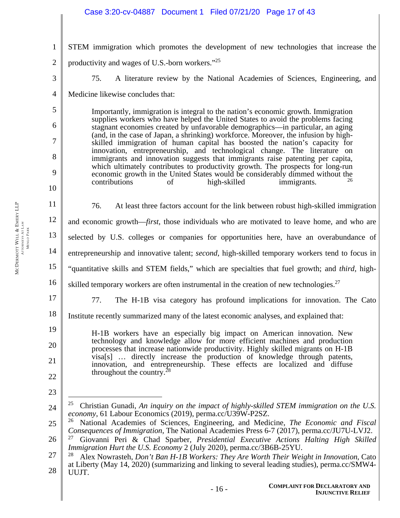- 1 2 3 4 5 6 7 8 9 10 11 12 13 14 15 16 17 18 19 20 21 22 23 24 STEM immigration which promotes the development of new technologies that increase the productivity and wages of U.S.-born workers."25 75. A literature review by the National Academies of Sciences, Engineering, and Medicine likewise concludes that: Importantly, immigration is integral to the nation's economic growth. Immigration supplies workers who have helped the United States to avoid the problems facing stagnant economies created by unfavorable demographics—in particular, an aging (and, in the case of Japan, a shrinking) workforce. Moreover, the infusion by highskilled immigration of human capital has boosted the nation's capacity for innovation, entrepreneurship, and technological change. The literature on immigrants and innovation suggests that immigrants raise patenting per capita, which ultimately contributes to productivity growth. The prospects for long-run economic growth in the United States would be considerably dimmed without the contributions of high-skilled immigrants. 76. At least three factors account for the link between robust high-skilled immigration and economic growth—*first*, those individuals who are motivated to leave home, and who are selected by U.S. colleges or companies for opportunities here, have an overabundance of entrepreneurship and innovative talent; *second*, high-skilled temporary workers tend to focus in "quantitative skills and STEM fields," which are specialties that fuel growth; and *third*, highskilled temporary workers are often instrumental in the creation of new technologies.<sup>27</sup> 77. The H-1B visa category has profound implications for innovation. The Cato Institute recently summarized many of the latest economic analyses, and explained that: H-1B workers have an especially big impact on American innovation. New technology and knowledge allow for more efficient machines and production processes that increase nationwide productivity. Highly skilled migrants on H-1B visa[s] … directly increase the production of knowledge through patents, innovation, and entrepreneurship. These effects are localized and diffuse throughout the country.<sup>2</sup>  $\overline{a}$ 25 Christian Gunadi, *An inquiry on the impact of highly-skilled STEM immigration on the U.S. economy*, 61 Labour Economics (2019), perma.cc/U39W-P2SZ. Case 3:20-cv-04887 Document 1 Filed 07/21/20 Page 17 of 43
- 25 26 National Academies of Sciences, Engineering, and Medicine, *The Economic and Fiscal Consequences of Immigration*, The National Academies Press 6-7 (2017), perma.cc/JU7U-LVJ2.

<sup>26</sup>  27 Giovanni Peri & Chad Sparber*, Presidential Executive Actions Halting High Skilled Immigration Hurt the U.S. Economy* 2 (July 2020), perma.cc/3B6B-25YU.

<sup>27</sup>  28 28 Alex Nowrasteh, *Don't Ban H-1B Workers: They Are Worth Their Weight in Innovation*, Cato at Liberty (May 14, 2020) (summarizing and linking to several leading studies), perma.cc/SMW4- UUJT.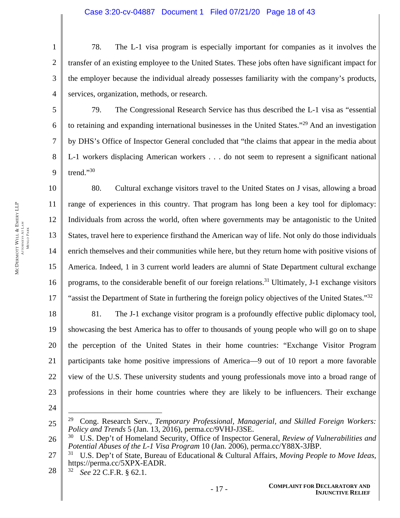1 2 3 4 78. The L-1 visa program is especially important for companies as it involves the transfer of an existing employee to the United States. These jobs often have significant impact for the employer because the individual already possesses familiarity with the company's products, services, organization, methods, or research.

79. The Congressional Research Service has thus described the L-1 visa as "essential to retaining and expanding international businesses in the United States."29 And an investigation by DHS's Office of Inspector General concluded that "the claims that appear in the media about L-1 workers displacing American workers . . . do not seem to represent a significant national trend."30

10 11 12 13 14 15 16 17 80. Cultural exchange visitors travel to the United States on J visas, allowing a broad range of experiences in this country. That program has long been a key tool for diplomacy: Individuals from across the world, often where governments may be antagonistic to the United States, travel here to experience firsthand the American way of life. Not only do those individuals enrich themselves and their communities while here, but they return home with positive visions of America. Indeed, 1 in 3 current world leaders are alumni of State Department cultural exchange programs, to the considerable benefit of our foreign relations.<sup>31</sup> Ultimately, J-1 exchange visitors "assist the Department of State in furthering the foreign policy objectives of the United States."<sup>32</sup>

18 19 20 21 22 23 81. The J-1 exchange visitor program is a profoundly effective public diplomacy tool, showcasing the best America has to offer to thousands of young people who will go on to shape the perception of the United States in their home countries: "Exchange Visitor Program participants take home positive impressions of America—9 out of 10 report a more favorable view of the U.S. These university students and young professionals move into a broad range of professions in their home countries where they are likely to be influencers. Their exchange

24

 $\overline{a}$ 

28 32 *See* 22 C.F.R. § 62.1.

5

6

7

8

<sup>25</sup>  29 Cong. Research Serv., *Temporary Professional, Managerial, and Skilled Foreign Workers: Policy and Trends* 5 (Jan. 13, 2016), perma.cc/9VHJ-J3SE.

<sup>26</sup>  30 U.S. Dep't of Homeland Security, Office of Inspector General, *Review of Vulnerabilities and Potential Abuses of the L-1 Visa Program* 10 (Jan. 2006), perma.cc/Y88X-3JBP.

<sup>27</sup>  31 U.S. Dep't of State, Bureau of Educational & Cultural Affairs, *Moving People to Move Ideas*, https://perma.cc/5XPX-EADR.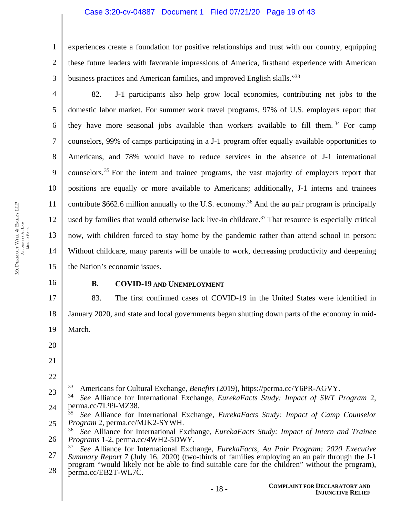# Case 3:20-cv-04887 Document 1 Filed 07/21/20 Page 19 of 43

1 2 3 experiences create a foundation for positive relationships and trust with our country, equipping these future leaders with favorable impressions of America, firsthand experience with American business practices and American families, and improved English skills."<sup>33</sup>

4 5 6 7 8 9 10 11 12 13 14 15 82. J-1 participants also help grow local economies, contributing net jobs to the domestic labor market. For summer work travel programs, 97% of U.S. employers report that they have more seasonal jobs available than workers available to fill them.<sup>34</sup> For camp counselors, 99% of camps participating in a J-1 program offer equally available opportunities to Americans, and 78% would have to reduce services in the absence of J-1 international counselors.<sup>35</sup> For the intern and trainee programs, the vast majority of employers report that positions are equally or more available to Americans; additionally, J-1 interns and trainees contribute \$662.6 million annually to the U.S. economy.<sup>36</sup> And the au pair program is principally used by families that would otherwise lack live-in childcare.<sup>37</sup> That resource is especially critical now, with children forced to stay home by the pandemic rather than attend school in person: Without childcare, many parents will be unable to work, decreasing productivity and deepening the Nation's economic issues.

16

# **B. COVID-19 AND UNEMPLOYMENT**

17 18 19 83. The first confirmed cases of COVID-19 in the United States were identified in January 2020, and state and local governments began shutting down parts of the economy in mid-March.

- 20
- 21

22

 $\overline{a}$ 

- 33 Americans for Cultural Exchange, *Benefits* (2019), https://perma.cc/Y6PR-AGVY.
- 23 24 34 *See* Alliance for International Exchange, *EurekaFacts Study: Impact of SWT Program* 2, perma.cc/7L99-MZ38.
- 25 35 *See* Alliance for International Exchange, *EurekaFacts Study: Impact of Camp Counselor Program* 2, perma.cc/MJK2-SYWH.
- 26 36 *See* Alliance for International Exchange, *EurekaFacts Study: Impact of Intern and Trainee Programs* 1-2, perma.cc/4WH2-5DWY.
- 27 28 37 *See* Alliance for International Exchange, *EurekaFacts, Au Pair Program: 2020 Executive Summary Report* 7 (July 16, 2020) (two-thirds of families employing an au pair through the J-1 program "would likely not be able to find suitable care for the children" without the program), perma.cc/EB2T-WL7C.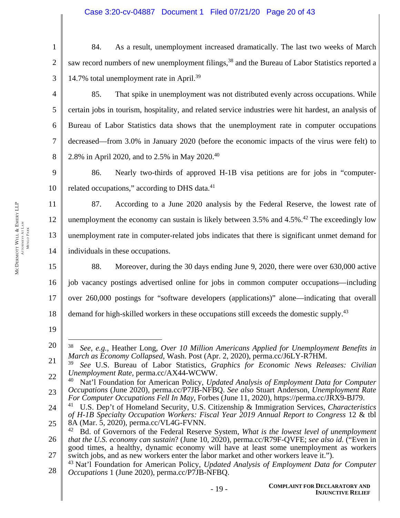1 2 3 84. As a result, unemployment increased dramatically. The last two weeks of March saw record numbers of new unemployment filings,<sup>38</sup> and the Bureau of Labor Statistics reported a 14.7% total unemployment rate in April.39

85. That spike in unemployment was not distributed evenly across occupations. While certain jobs in tourism, hospitality, and related service industries were hit hardest, an analysis of Bureau of Labor Statistics data shows that the unemployment rate in computer occupations decreased—from 3.0% in January 2020 (before the economic impacts of the virus were felt) to 2.8% in April 2020, and to 2.5% in May 2020.40

9 10 86. Nearly two-thirds of approved H-1B visa petitions are for jobs in "computerrelated occupations," according to DHS data. $41$ 

11 12 13 14 87. According to a June 2020 analysis by the Federal Reserve, the lowest rate of unemployment the economy can sustain is likely between  $3.5\%$  and  $4.5\%$ .<sup>42</sup> The exceedingly low unemployment rate in computer-related jobs indicates that there is significant unmet demand for individuals in these occupations.

15 16 17 18 88. Moreover, during the 30 days ending June 9, 2020, there were over 630,000 active job vacancy postings advertised online for jobs in common computer occupations—including over 260,000 postings for "software developers (applications)" alone—indicating that overall demand for high-skilled workers in these occupations still exceeds the domestic supply.<sup>43</sup>

19

4

5

6

7

<sup>20</sup>   $\overline{a}$ 38 *See, e.g.*, Heather Long, *Over 10 Million Americans Applied for Unemployment Benefits in March as Economy Collapsed*, Wash. Post (Apr. 2, 2020), perma.cc/J6LY-R7HM.

<sup>21</sup>  22 39 *See* U.S. Bureau of Labor Statistics, *Graphics for Economic News Releases: Civilian Unemployment Rate*, perma.cc/AX44-WCWW.

<sup>23</sup>  40 Nat'l Foundation for American Policy, *Updated Analysis of Employment Data for Computer Occupations* (June 2020), perma.cc/P7JB-NFBQ. *See also* Stuart Anderson, *Unemployment Rate For Computer Occupations Fell In May*, Forbes (June 11, 2020), https://perma.cc/JRX9-BJ79.

<sup>24</sup>  25 41 U.S. Dep't of Homeland Security, U.S. Citizenship & Immigration Services, *Characteristics of H-1B Specialty Occupation Workers: Fiscal Year 2019 Annual Report to Congress* 12 & tbl 8A (Mar. 5, 2020), perma.cc/VL4G-FVNN.

<sup>26</sup>  27 42 Bd. of Governors of the Federal Reserve System, *What is the lowest level of unemployment that the U.S. economy can sustain*? (June 10, 2020), perma.cc/R79F-QVFE; *see also id.* ("Even in good times, a healthy, dynamic economy will have at least some unemployment as workers switch jobs, and as new workers enter the labor market and other workers leave it.").

<sup>28</sup>  43 Nat'l Foundation for American Policy, *Updated Analysis of Employment Data for Computer Occupations* 1 (June 2020), perma.cc/P7JB-NFBQ.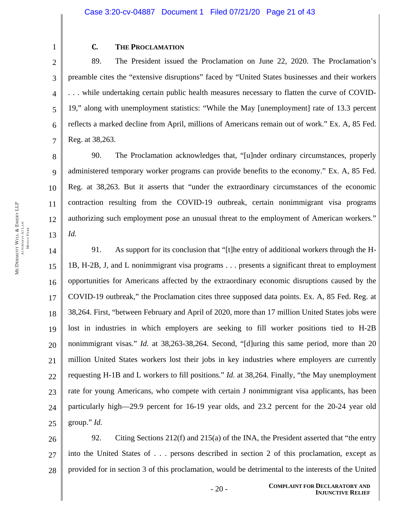# **C. THE PROCLAMATION**

89. The President issued the Proclamation on June 22, 2020. The Proclamation's preamble cites the "extensive disruptions" faced by "United States businesses and their workers . . . while undertaking certain public health measures necessary to flatten the curve of COVID-19," along with unemployment statistics: "While the May [unemployment] rate of 13.3 percent reflects a marked decline from April, millions of Americans remain out of work." Ex. A, 85 Fed. Reg. at 38,263.

10 90. The Proclamation acknowledges that, "[u]nder ordinary circumstances, properly administered temporary worker programs can provide benefits to the economy." Ex. A, 85 Fed. Reg. at 38,263. But it asserts that "under the extraordinary circumstances of the economic contraction resulting from the COVID-19 outbreak, certain nonimmigrant visa programs authorizing such employment pose an unusual threat to the employment of American workers." *Id.*

14 15 16 17 18 19 20 21 22 23 24 25 91. As support for its conclusion that "[t]he entry of additional workers through the H-1B, H-2B, J, and L nonimmigrant visa programs . . . presents a significant threat to employment opportunities for Americans affected by the extraordinary economic disruptions caused by the COVID-19 outbreak," the Proclamation cites three supposed data points. Ex. A, 85 Fed. Reg. at 38,264. First, "between February and April of 2020, more than 17 million United States jobs were lost in industries in which employers are seeking to fill worker positions tied to H-2B nonimmigrant visas." *Id.* at 38,263-38,264. Second, "[d]uring this same period, more than 20 million United States workers lost their jobs in key industries where employers are currently requesting H-1B and L workers to fill positions." *Id.* at 38,264. Finally, "the May unemployment rate for young Americans, who compete with certain J nonimmigrant visa applicants, has been particularly high—29.9 percent for 16-19 year olds, and 23.2 percent for the 20-24 year old group." *Id.*

26 27 28 92. Citing Sections 212(f) and 215(a) of the INA, the President asserted that "the entry into the United States of . . . persons described in section 2 of this proclamation, except as provided for in section 3 of this proclamation, would be detrimental to the interests of the United

1

2

3

4

5

6

7

8

9

11

12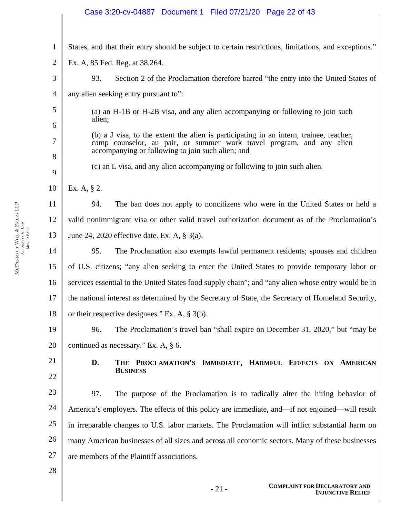# 1 2 3 4 5 6 7 8 9 10 11 12 13 14 15 16 17 18 19 20 21 22 23 24 25 26 27 28 States, and that their entry should be subject to certain restrictions, limitations, and exceptions." Ex. A, 85 Fed. Reg. at 38,264. 93. Section 2 of the Proclamation therefore barred "the entry into the United States of any alien seeking entry pursuant to": (a) an H-1B or H-2B visa, and any alien accompanying or following to join such alien; (b) a J visa, to the extent the alien is participating in an intern, trainee, teacher, camp counselor, au pair, or summer work travel program, and any alien accompanying or following to join such alien; and (c) an L visa, and any alien accompanying or following to join such alien. Ex. A, § 2. 94. The ban does not apply to noncitizens who were in the United States or held a valid nonimmigrant visa or other valid travel authorization document as of the Proclamation's June 24, 2020 effective date. Ex. A, § 3(a). 95. The Proclamation also exempts lawful permanent residents; spouses and children of U.S. citizens; "any alien seeking to enter the United States to provide temporary labor or services essential to the United States food supply chain"; and "any alien whose entry would be in the national interest as determined by the Secretary of State, the Secretary of Homeland Security, or their respective designees." Ex. A, § 3(b). 96. The Proclamation's travel ban "shall expire on December 31, 2020," but "may be continued as necessary." Ex. A, § 6. **D. THE PROCLAMATION'S IMMEDIATE, HARMFUL EFFECTS ON AMERICAN BUSINESS** 97. The purpose of the Proclamation is to radically alter the hiring behavior of America's employers. The effects of this policy are immediate, and—if not enjoined—will result in irreparable changes to U.S. labor markets. The Proclamation will inflict substantial harm on many American businesses of all sizes and across all economic sectors. Many of these businesses are members of the Plaintiff associations. Case 3:20-cv-04887 Document 1 Filed 07/21/20 Page 22 of 43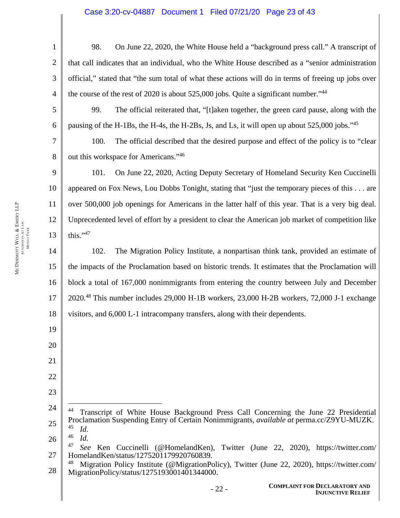# Case 3:20-cv-04887 Document 1 Filed 07/21/20 Page 23 of 43

1 2 3 4 5 6 98. On June 22, 2020, the White House held a "background press call." A transcript of that call indicates that an individual, who the White House described as a "senior administration official," stated that "the sum total of what these actions will do in terms of freeing up jobs over the course of the rest of 2020 is about 525,000 jobs. Quite a significant number."44 99. The official reiterated that, "[t]aken together, the green card pause, along with the

pausing of the H-1Bs, the H-4s, the H-2Bs, Js, and Ls, it will open up about 525,000 jobs."<sup>45</sup>

7 100. The official described that the desired purpose and effect of the policy is to "clear out this workspace for Americans."46

9 10 11 12 13 101. On June 22, 2020, Acting Deputy Secretary of Homeland Security Ken Cuccinelli appeared on Fox News, Lou Dobbs Tonight, stating that "just the temporary pieces of this . . . are over 500,000 job openings for Americans in the latter half of this year. That is a very big deal. Unprecedented level of effort by a president to clear the American job market of competition like this." $47$ 

14 15 16 17 18 102. The Migration Policy Institute, a nonpartisan think tank, provided an estimate of the impacts of the Proclamation based on historic trends. It estimates that the Proclamation will block a total of 167,000 nonimmigrants from entering the country between July and December 2020.48 This number includes 29,000 H-1B workers, 23,000 H-2B workers, 72,000 J-1 exchange visitors, and 6,000 L-1 intracompany transfers, along with their dependents.

24 25 44 Transcript of White House Background Press Call Concerning the June 22 Presidential Proclamation Suspending Entry of Certain Nonimmigrants, *available at* perma.cc/Z9YU-MUZK. <sup>45</sup>*Id*. 46 *Id.*

26

 $\overline{a}$ 

8

19

20

21

22

<sup>27</sup>  47 *See* Ken Cuccinelli (@HomelandKen), Twitter (June 22, 2020), https://twitter.com/ HomelandKen/status/1275201179920760839.

<sup>28</sup>  Migration Policy Institute (@MigrationPolicy), Twitter (June 22, 2020), https://twitter.com/ MigrationPolicy/status/1275193001401344000.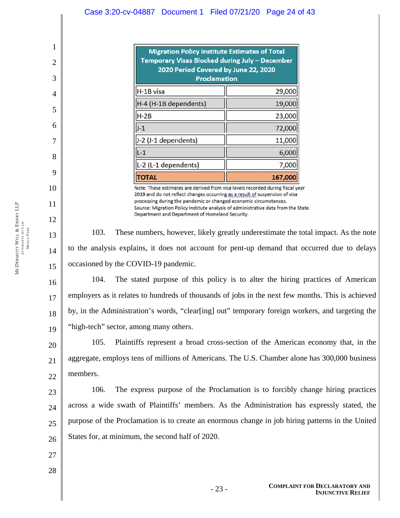Case 3:20-cv-04887 Document 1 Filed 07/21/20 Page 24 of 43

| <b>Migration Policy Institute Estimates of Total</b><br>Temporary Visas Blocked during July – December<br>2020 Period Covered by June 22, 2020<br><b>Proclamation</b> |         |  |
|-----------------------------------------------------------------------------------------------------------------------------------------------------------------------|---------|--|
| H-1B visa                                                                                                                                                             | 29,000  |  |
| H-4 (H-1B dependents)                                                                                                                                                 | 19,000  |  |
| $H-2B$                                                                                                                                                                | 23,000  |  |
| $J-1$                                                                                                                                                                 | 72,000  |  |
| J-2 (J-1 dependents)                                                                                                                                                  | 11,000  |  |
| $L-1$                                                                                                                                                                 | 6,000   |  |
| L-2 (L-1 dependents)                                                                                                                                                  | 7,000   |  |
|                                                                                                                                                                       | 167,000 |  |

Note: These estimates are derived from visa levels recorded during fiscal year 2019 and do not reflect changes occurring as a result of suspension of visa processing during the pandemic or changed economic circumstances. Source: Migration Policy Institute analysis of administrative data from the State Department and Department of Homeland Security.

103. These numbers, however, likely greatly underestimate the total impact. As the note to the analysis explains, it does not account for pent-up demand that occurred due to delays occasioned by the COVID-19 pandemic.

16 17 18 19 104. The stated purpose of this policy is to alter the hiring practices of American employers as it relates to hundreds of thousands of jobs in the next few months. This is achieved by, in the Administration's words, "clear[ing] out" temporary foreign workers, and targeting the "high-tech" sector, among many others.

20 21 22 105. Plaintiffs represent a broad cross-section of the American economy that, in the aggregate, employs tens of millions of Americans. The U.S. Chamber alone has 300,000 business members.

23 24 25 26 106. The express purpose of the Proclamation is to forcibly change hiring practices across a wide swath of Plaintiffs' members. As the Administration has expressly stated, the purpose of the Proclamation is to create an enormous change in job hiring patterns in the United States for, at minimum, the second half of 2020.

- 27
- 28

1

2

3

4

5

6

7

8

9

10

11

12

13

14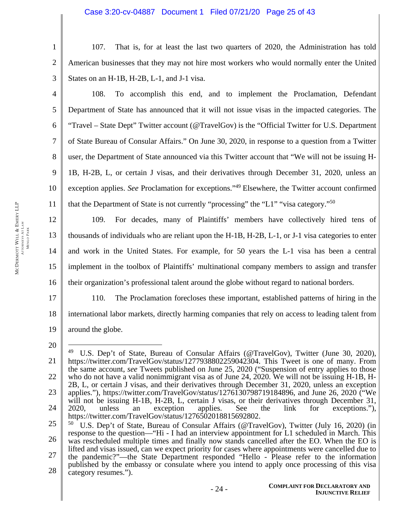### Case 3:20-cv-04887 Document 1 Filed 07/21/20 Page 25 of 43

 EMERY LLP ATTORNEYS AT LAW **MENLO PARK** MENLO PARK WILL &MCDERMOTT

1 2 3 107. That is, for at least the last two quarters of 2020, the Administration has told American businesses that they may not hire most workers who would normally enter the United States on an H-1B, H-2B, L-1, and J-1 visa.

4 5 6 7 8 9 10 11 108. To accomplish this end, and to implement the Proclamation, Defendant Department of State has announced that it will not issue visas in the impacted categories. The "Travel – State Dept" Twitter account (@TravelGov) is the "Official Twitter for U.S. Department of State Bureau of Consular Affairs." On June 30, 2020, in response to a question from a Twitter user, the Department of State announced via this Twitter account that "We will not be issuing H-1B, H-2B, L, or certain J visas, and their derivatives through December 31, 2020, unless an exception applies. *See* Proclamation for exceptions."49 Elsewhere, the Twitter account confirmed that the Department of State is not currently "processing" the "L1" "visa category."<sup>50</sup>

12 13 14 15 16 109. For decades, many of Plaintiffs' members have collectively hired tens of thousands of individuals who are reliant upon the H-1B, H-2B, L-1, or J-1 visa categories to enter and work in the United States. For example, for 50 years the L-1 visa has been a central implement in the toolbox of Plaintiffs' multinational company members to assign and transfer their organization's professional talent around the globe without regard to national borders.

17 18 19 110. The Proclamation forecloses these important, established patterns of hiring in the international labor markets, directly harming companies that rely on access to leading talent from around the globe.

<sup>20</sup> 

<sup>21</sup>  22 23 24  $\overline{a}$ <sup>49</sup> U.S. Dep't of State, Bureau of Consular Affairs (@TravelGov), Twitter (June 30, 2020), https://twitter.com/TravelGov/status/1277938802259042304. This Tweet is one of many. From the same account, *see* Tweets published on June 25, 2020 ("Suspension of entry applies to those who do not have a valid nonimmigrant visa as of June 24, 2020. We will not be issuing H-1B, H-2B, L, or certain J visas, and their derivatives through December 31, 2020, unless an exception applies."), https://twitter.com/TravelGov/status/1276130798719184896, and June 26, 2020 ("We will not be issuing H-1B, H-2B, L, certain J visas, or their derivatives through December 31, 2020, unless an exception applies. See the link for exceptions."), https://twitter.com/TravelGov/status/1276502018815692802.

<sup>25</sup>  26 27 28 50 U.S. Dep't of State, Bureau of Consular Affairs (@TravelGov), Twitter (July 16, 2020) (in response to the question—"Hi - I had an interview appointment for L1 scheduled in March. This was rescheduled multiple times and finally now stands cancelled after the EO. When the EO is lifted and visas issued, can we expect priority for cases where appointments were cancelled due to the pandemic?"—the State Department responded "Hello - Please refer to the information published by the embassy or consulate where you intend to apply once processing of this visa category resumes.").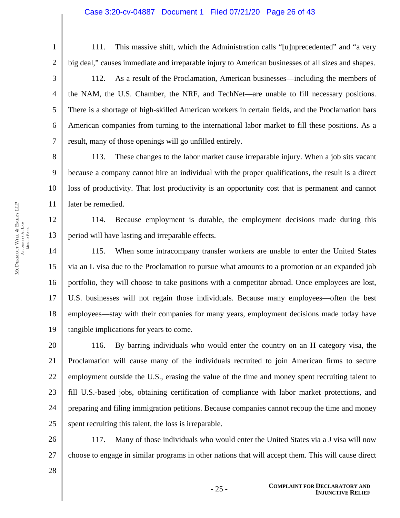#### Case 3:20-cv-04887 Document 1 Filed 07/21/20 Page 26 of 43

1 2 3 4 5 6 7 111. This massive shift, which the Administration calls "[u]nprecedented" and "a very big deal," causes immediate and irreparable injury to American businesses of all sizes and shapes. 112. As a result of the Proclamation, American businesses—including the members of the NAM, the U.S. Chamber, the NRF, and TechNet—are unable to fill necessary positions. There is a shortage of high-skilled American workers in certain fields, and the Proclamation bars American companies from turning to the international labor market to fill these positions. As a result, many of those openings will go unfilled entirely.

8 9 10 11 113. These changes to the labor market cause irreparable injury. When a job sits vacant because a company cannot hire an individual with the proper qualifications, the result is a direct loss of productivity. That lost productivity is an opportunity cost that is permanent and cannot later be remedied.

12 13 114. Because employment is durable, the employment decisions made during this period will have lasting and irreparable effects.

14 15 16 17 18 19 115. When some intracompany transfer workers are unable to enter the United States via an L visa due to the Proclamation to pursue what amounts to a promotion or an expanded job portfolio, they will choose to take positions with a competitor abroad. Once employees are lost, U.S. businesses will not regain those individuals. Because many employees—often the best employees—stay with their companies for many years, employment decisions made today have tangible implications for years to come.

20 21 22 23 24 25 116. By barring individuals who would enter the country on an H category visa, the Proclamation will cause many of the individuals recruited to join American firms to secure employment outside the U.S., erasing the value of the time and money spent recruiting talent to fill U.S.-based jobs, obtaining certification of compliance with labor market protections, and preparing and filing immigration petitions. Because companies cannot recoup the time and money spent recruiting this talent, the loss is irreparable.

26 27 117. Many of those individuals who would enter the United States via a J visa will now choose to engage in similar programs in other nations that will accept them. This will cause direct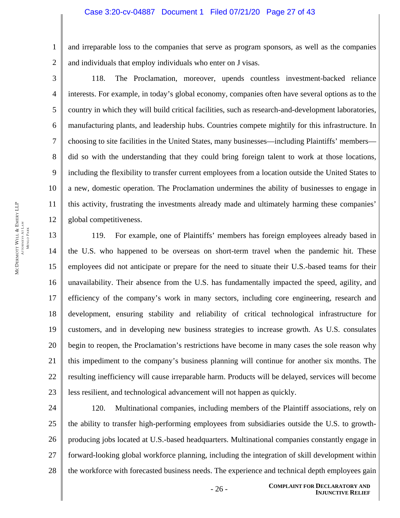#### Case 3:20-cv-04887 Document 1 Filed 07/21/20 Page 27 of 43

1 2 and irreparable loss to the companies that serve as program sponsors, as well as the companies and individuals that employ individuals who enter on J visas.

3

4

5

6

7

8

9

10

11

12

118. The Proclamation, moreover, upends countless investment-backed reliance interests. For example, in today's global economy, companies often have several options as to the country in which they will build critical facilities, such as research-and-development laboratories, manufacturing plants, and leadership hubs. Countries compete mightily for this infrastructure. In choosing to site facilities in the United States, many businesses—including Plaintiffs' members did so with the understanding that they could bring foreign talent to work at those locations, including the flexibility to transfer current employees from a location outside the United States to a new, domestic operation. The Proclamation undermines the ability of businesses to engage in this activity, frustrating the investments already made and ultimately harming these companies' global competitiveness.

13 14 15 16 17 18 19 20 21 22 23 119. For example, one of Plaintiffs' members has foreign employees already based in the U.S. who happened to be overseas on short-term travel when the pandemic hit. These employees did not anticipate or prepare for the need to situate their U.S.-based teams for their unavailability. Their absence from the U.S. has fundamentally impacted the speed, agility, and efficiency of the company's work in many sectors, including core engineering, research and development, ensuring stability and reliability of critical technological infrastructure for customers, and in developing new business strategies to increase growth. As U.S. consulates begin to reopen, the Proclamation's restrictions have become in many cases the sole reason why this impediment to the company's business planning will continue for another six months. The resulting inefficiency will cause irreparable harm. Products will be delayed, services will become less resilient, and technological advancement will not happen as quickly.

24 25 26 27 28 120. Multinational companies, including members of the Plaintiff associations, rely on the ability to transfer high-performing employees from subsidiaries outside the U.S. to growthproducing jobs located at U.S.-based headquarters. Multinational companies constantly engage in forward-looking global workforce planning, including the integration of skill development within the workforce with forecasted business needs. The experience and technical depth employees gain

- 26 - **COMPLAINT FOR DECLARATORY AND INJUNCTIVE RELIEF**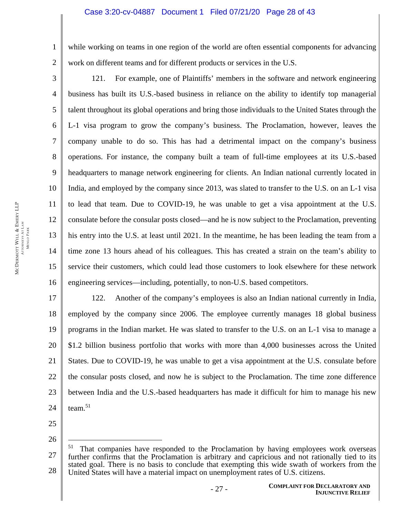### Case 3:20-cv-04887 Document 1 Filed 07/21/20 Page 28 of 43

while working on teams in one region of the world are often essential components for advancing work on different teams and for different products or services in the U.S.

3 4 5 6 7 8 9 10 11 12 13 14 15 16 121. For example, one of Plaintiffs' members in the software and network engineering business has built its U.S.-based business in reliance on the ability to identify top managerial talent throughout its global operations and bring those individuals to the United States through the L-1 visa program to grow the company's business. The Proclamation, however, leaves the company unable to do so. This has had a detrimental impact on the company's business operations. For instance, the company built a team of full-time employees at its U.S.-based headquarters to manage network engineering for clients. An Indian national currently located in India, and employed by the company since 2013, was slated to transfer to the U.S. on an L-1 visa to lead that team. Due to COVID-19, he was unable to get a visa appointment at the U.S. consulate before the consular posts closed—and he is now subject to the Proclamation, preventing his entry into the U.S. at least until 2021. In the meantime, he has been leading the team from a time zone 13 hours ahead of his colleagues. This has created a strain on the team's ability to service their customers, which could lead those customers to look elsewhere for these network engineering services—including, potentially, to non-U.S. based competitors.

17 18 19 20 21 22 23 24 122. Another of the company's employees is also an Indian national currently in India, employed by the company since 2006. The employee currently manages 18 global business programs in the Indian market. He was slated to transfer to the U.S. on an L-1 visa to manage a \$1.2 billion business portfolio that works with more than 4,000 businesses across the United States. Due to COVID-19, he was unable to get a visa appointment at the U.S. consulate before the consular posts closed, and now he is subject to the Proclamation. The time zone difference between India and the U.S.-based headquarters has made it difficult for him to manage his new team.51

25 26

 $\overline{a}$ 

1

2

- 27 - **COMPLAINT FOR DECLARATORY AND INJUNCTIVE RELIEF**

<sup>27</sup>  28  $51$  That companies have responded to the Proclamation by having employees work overseas further confirms that the Proclamation is arbitrary and capricious and not rationally tied to its stated goal. There is no basis to conclude that exempting this wide swath of workers from the United States will have a material impact on unemployment rates of U.S. citizens.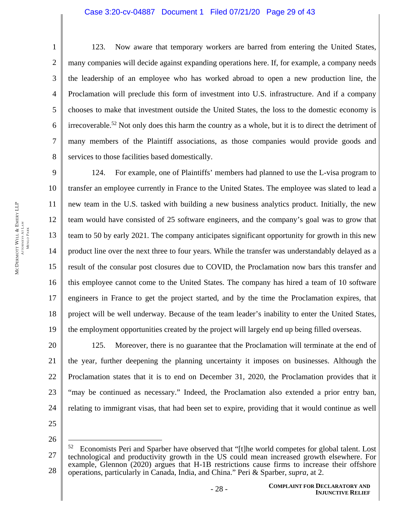### Case 3:20-cv-04887 Document 1 Filed 07/21/20 Page 29 of 43

123. Now aware that temporary workers are barred from entering the United States, many companies will decide against expanding operations here. If, for example, a company needs the leadership of an employee who has worked abroad to open a new production line, the Proclamation will preclude this form of investment into U.S. infrastructure. And if a company chooses to make that investment outside the United States, the loss to the domestic economy is irrecoverable.<sup>52</sup> Not only does this harm the country as a whole, but it is to direct the detriment of many members of the Plaintiff associations, as those companies would provide goods and services to those facilities based domestically.

9 10 11 12 13 14 15 16 17 18 19 124. For example, one of Plaintiffs' members had planned to use the L-visa program to transfer an employee currently in France to the United States. The employee was slated to lead a new team in the U.S. tasked with building a new business analytics product. Initially, the new team would have consisted of 25 software engineers, and the company's goal was to grow that team to 50 by early 2021. The company anticipates significant opportunity for growth in this new product line over the next three to four years. While the transfer was understandably delayed as a result of the consular post closures due to COVID, the Proclamation now bars this transfer and this employee cannot come to the United States. The company has hired a team of 10 software engineers in France to get the project started, and by the time the Proclamation expires, that project will be well underway. Because of the team leader's inability to enter the United States, the employment opportunities created by the project will largely end up being filled overseas.

20 21 22 23 24 125. Moreover, there is no guarantee that the Proclamation will terminate at the end of the year, further deepening the planning uncertainty it imposes on businesses. Although the Proclamation states that it is to end on December 31, 2020, the Proclamation provides that it "may be continued as necessary." Indeed, the Proclamation also extended a prior entry ban, relating to immigrant visas, that had been set to expire, providing that it would continue as well

25 26

 $\overline{a}$ 

1

2

3

4

5

6

7

<sup>27</sup>  28  $52$  Economists Peri and Sparber have observed that "[t]he world competes for global talent. Lost technological and productivity growth in the US could mean increased growth elsewhere. For example, Glennon (2020) argues that H-1B restrictions cause firms to increase their offshore operations, particularly in Canada, India, and China." Peri & Sparber, *supra*, at 2.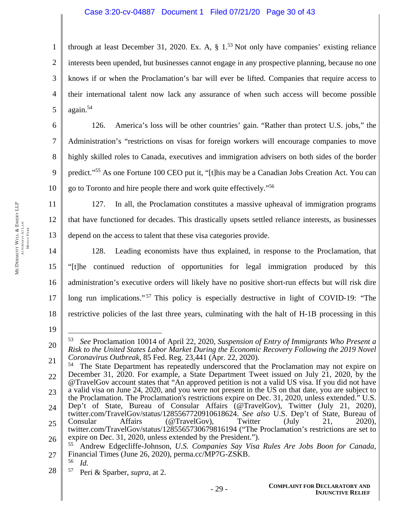# Case 3:20-cv-04887 Document 1 Filed 07/21/20 Page 30 of 43

1 2 3 4 5 through at least December 31, 2020. Ex. A,  $\S$  1.<sup>53</sup> Not only have companies' existing reliance interests been upended, but businesses cannot engage in any prospective planning, because no one knows if or when the Proclamation's bar will ever be lifted. Companies that require access to their international talent now lack any assurance of when such access will become possible again.54

126. America's loss will be other countries' gain. "Rather than protect U.S. jobs," the Administration's "restrictions on visas for foreign workers will encourage companies to move highly skilled roles to Canada, executives and immigration advisers on both sides of the border predict."55 As one Fortune 100 CEO put it, "[t]his may be a Canadian Jobs Creation Act. You can go to Toronto and hire people there and work quite effectively."56

11 12 13 127. In all, the Proclamation constitutes a massive upheaval of immigration programs that have functioned for decades. This drastically upsets settled reliance interests, as businesses depend on the access to talent that these visa categories provide.

14 15 16 17 18 128. Leading economists have thus explained, in response to the Proclamation, that "[t]he continued reduction of opportunities for legal immigration produced by this administration's executive orders will likely have no positive short-run effects but will risk dire long run implications."<sup>57</sup> This policy is especially destructive in light of COVID-19: "The restrictive policies of the last three years, culminating with the halt of H-1B processing in this

19

 $\overline{a}$ 

6

7

8

9

10

27 55 Andrew Edgecliffe-Johnson, *U.S. Companies Say Visa Rules Are Jobs Boon for Canada*, Financial Times (June 26, 2020), perma.cc/MP7G-ZSKB.

<sup>20</sup>  53 *See* Proclamation 10014 of April 22, 2020, *Suspension of Entry of Immigrants Who Present a Risk to the United States Labor Market During the Economic Recovery Following the 2019 Novel Coronavirus Outbreak*, 85 Fed. Reg. 23,441 (Apr. 22, 2020).

<sup>21</sup>  22 23 24 25 26 <sup>54</sup> The State Department has repeatedly underscored that the Proclamation may not expire on December 31, 2020. For example, a State Department Tweet issued on July 21, 2020, by the @TravelGov account states that "An approved petition is not a valid US visa. If you did not have a valid visa on June 24, 2020, and you were not present in the US on that date, you are subject to the Proclamation. The Proclamation's restrictions expire on Dec. 31, 2020, unless extended." U.S. Dep't of State, Bureau of Consular Affairs (@TravelGov), Twitter (July 21, 2020), twitter.com/TravelGov/status/1285567720910618624. *See also* U.S. Dep't of State, Bureau of Consular Affairs (@TravelGov), Twitter (July 21, 2020), twitter.com/TravelGov/status/1285565730679816194 ("The Proclamation's restrictions are set to expire on Dec. 31, 2020, unless extended by the President.").

<sup>56</sup> *Id.* 

<sup>28</sup>  57 Peri & Sparber, *supra*, at 2.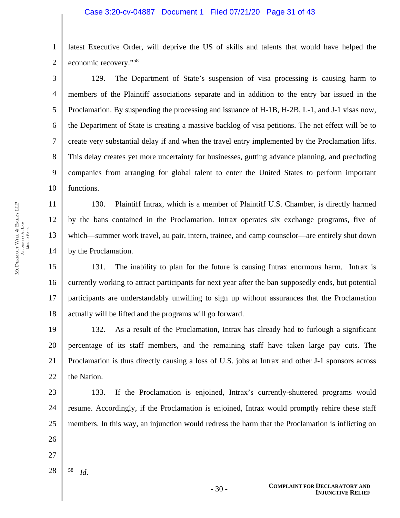1 2 latest Executive Order, will deprive the US of skills and talents that would have helped the economic recovery."58

3 4 5 6 7 8 9 10 129. The Department of State's suspension of visa processing is causing harm to members of the Plaintiff associations separate and in addition to the entry bar issued in the Proclamation. By suspending the processing and issuance of H-1B, H-2B, L-1, and J-1 visas now, the Department of State is creating a massive backlog of visa petitions. The net effect will be to create very substantial delay if and when the travel entry implemented by the Proclamation lifts. This delay creates yet more uncertainty for businesses, gutting advance planning, and precluding companies from arranging for global talent to enter the United States to perform important functions.

130. Plaintiff Intrax, which is a member of Plaintiff U.S. Chamber, is directly harmed by the bans contained in the Proclamation. Intrax operates six exchange programs, five of which—summer work travel, au pair, intern, trainee, and camp counselor—are entirely shut down by the Proclamation.

15 16 17 18 131. The inability to plan for the future is causing Intrax enormous harm. Intrax is currently working to attract participants for next year after the ban supposedly ends, but potential participants are understandably unwilling to sign up without assurances that the Proclamation actually will be lifted and the programs will go forward.

19 20 21 22 132. As a result of the Proclamation, Intrax has already had to furlough a significant percentage of its staff members, and the remaining staff have taken large pay cuts. The Proclamation is thus directly causing a loss of U.S. jobs at Intrax and other J-1 sponsors across the Nation.

23 24 25 133. If the Proclamation is enjoined, Intrax's currently-shuttered programs would resume. Accordingly, if the Proclamation is enjoined, Intrax would promptly rehire these staff members. In this way, an injunction would redress the harm that the Proclamation is inflicting on

- 26
- 27

28  $\overline{a}$ 58 *Id*.

11

12

13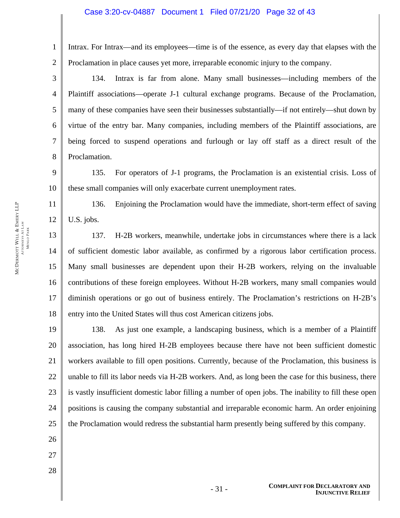### Case 3:20-cv-04887 Document 1 Filed 07/21/20 Page 32 of 43

Intrax. For Intrax—and its employees—time is of the essence, as every day that elapses with the Proclamation in place causes yet more, irreparable economic injury to the company.

134. Intrax is far from alone. Many small businesses—including members of the Plaintiff associations—operate J-1 cultural exchange programs. Because of the Proclamation, many of these companies have seen their businesses substantially—if not entirely—shut down by virtue of the entry bar. Many companies, including members of the Plaintiff associations, are being forced to suspend operations and furlough or lay off staff as a direct result of the Proclamation.

9 10 135. For operators of J-1 programs, the Proclamation is an existential crisis. Loss of these small companies will only exacerbate current unemployment rates.

136. Enjoining the Proclamation would have the immediate, short-term effect of saving U.S. jobs.

13 14 15 16 17 18 137. H-2B workers, meanwhile, undertake jobs in circumstances where there is a lack of sufficient domestic labor available, as confirmed by a rigorous labor certification process. Many small businesses are dependent upon their H-2B workers, relying on the invaluable contributions of these foreign employees. Without H-2B workers, many small companies would diminish operations or go out of business entirely. The Proclamation's restrictions on H-2B's entry into the United States will thus cost American citizens jobs.

19 20 21 22 23 24 25 138. As just one example, a landscaping business, which is a member of a Plaintiff association, has long hired H-2B employees because there have not been sufficient domestic workers available to fill open positions. Currently, because of the Proclamation, this business is unable to fill its labor needs via H-2B workers. And, as long been the case for this business, there is vastly insufficient domestic labor filling a number of open jobs. The inability to fill these open positions is causing the company substantial and irreparable economic harm. An order enjoining the Proclamation would redress the substantial harm presently being suffered by this company.

- 26
- 27
- 28

1

2

3

4

5

6

7

8

11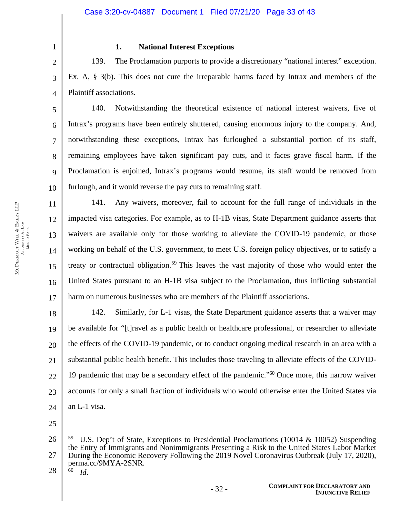2 3

5

6

7

8

9

10

11

12

13

14

15

16

17

1

# **1. National Interest Exceptions**

4 139. The Proclamation purports to provide a discretionary "national interest" exception. Ex. A, § 3(b). This does not cure the irreparable harms faced by Intrax and members of the Plaintiff associations.

140. Notwithstanding the theoretical existence of national interest waivers, five of Intrax's programs have been entirely shuttered, causing enormous injury to the company. And, notwithstanding these exceptions, Intrax has furloughed a substantial portion of its staff, remaining employees have taken significant pay cuts, and it faces grave fiscal harm. If the Proclamation is enjoined, Intrax's programs would resume, its staff would be removed from furlough, and it would reverse the pay cuts to remaining staff.

141. Any waivers, moreover, fail to account for the full range of individuals in the impacted visa categories. For example, as to H-1B visas, State Department guidance asserts that waivers are available only for those working to alleviate the COVID-19 pandemic, or those working on behalf of the U.S. government, to meet U.S. foreign policy objectives, or to satisfy a treaty or contractual obligation.<sup>59</sup> This leaves the vast majority of those who would enter the United States pursuant to an H-1B visa subject to the Proclamation, thus inflicting substantial harm on numerous businesses who are members of the Plaintiff associations.

18 19 20 21 22 23 24 142. Similarly, for L-1 visas, the State Department guidance asserts that a waiver may be available for "[t]ravel as a public health or healthcare professional, or researcher to alleviate the effects of the COVID-19 pandemic, or to conduct ongoing medical research in an area with a substantial public health benefit. This includes those traveling to alleviate effects of the COVID-19 pandemic that may be a secondary effect of the pandemic."60 Once more, this narrow waiver accounts for only a small fraction of individuals who would otherwise enter the United States via an L-1 visa.

25

28

 $\overline{a}$ 

<sup>26</sup>  27 59 U.S. Dep't of State, Exceptions to Presidential Proclamations (10014 & 10052) Suspending the Entry of Immigrants and Nonimmigrants Presenting a Risk to the United States Labor Market During the Economic Recovery Following the 2019 Novel Coronavirus Outbreak (July 17, 2020), perma.cc/9MYA-2SNR. 60 *Id*.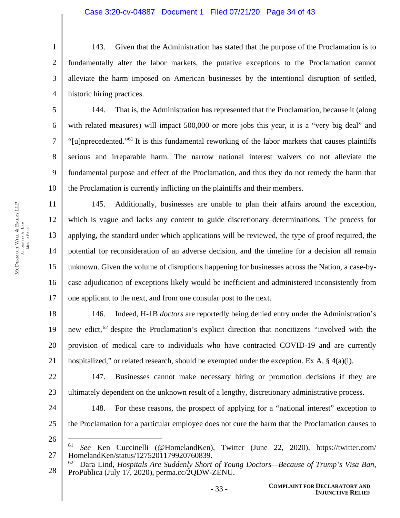143. Given that the Administration has stated that the purpose of the Proclamation is to fundamentally alter the labor markets, the putative exceptions to the Proclamation cannot alleviate the harm imposed on American businesses by the intentional disruption of settled, historic hiring practices.

144. That is, the Administration has represented that the Proclamation, because it (along with related measures) will impact 500,000 or more jobs this year, it is a "very big deal" and "[u]nprecedented."61 It is this fundamental reworking of the labor markets that causes plaintiffs serious and irreparable harm. The narrow national interest waivers do not alleviate the fundamental purpose and effect of the Proclamation, and thus they do not remedy the harm that the Proclamation is currently inflicting on the plaintiffs and their members.

145. Additionally, businesses are unable to plan their affairs around the exception, which is vague and lacks any content to guide discretionary determinations. The process for applying, the standard under which applications will be reviewed, the type of proof required, the potential for reconsideration of an adverse decision, and the timeline for a decision all remain unknown. Given the volume of disruptions happening for businesses across the Nation, a case-bycase adjudication of exceptions likely would be inefficient and administered inconsistently from one applicant to the next, and from one consular post to the next.

18 19 20 21 146. Indeed, H-1B *doctors* are reportedly being denied entry under the Administration's new edict,<sup>62</sup> despite the Proclamation's explicit direction that noncitizens "involved with the provision of medical care to individuals who have contracted COVID-19 and are currently hospitalized," or related research, should be exempted under the exception. Ex A,  $\S$  4(a)(i).

22 23 147. Businesses cannot make necessary hiring or promotion decisions if they are ultimately dependent on the unknown result of a lengthy, discretionary administrative process.

24 25

148. For these reasons, the prospect of applying for a "national interest" exception to the Proclamation for a particular employee does not cure the harm that the Proclamation causes to

26

 $\overline{a}$ 

1

2

3

4

5

6

7

8

9

10

11

12

13

14

15

16

<sup>27</sup>  61 *See* Ken Cuccinelli (@HomelandKen), Twitter (June 22, 2020), https://twitter.com/ HomelandKen/status/1275201179920760839.

<sup>28</sup>  62 Dara Lind, *Hospitals Are Suddenly Short of Young Doctors—Because of Trump's Visa Ban*, ProPublica (July 17, 2020), perma.cc/2QDW-ZENU.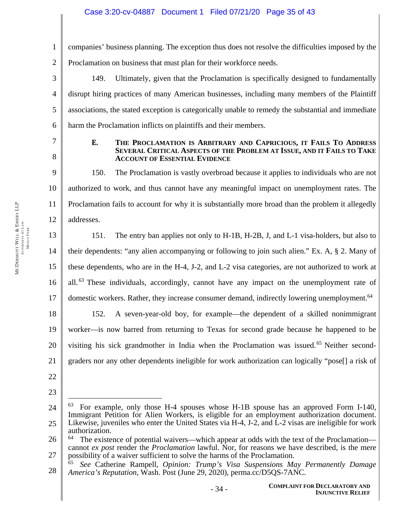# Case 3:20-cv-04887 Document 1 Filed 07/21/20 Page 35 of 43

1 2 companies' business planning. The exception thus does not resolve the difficulties imposed by the Proclamation on business that must plan for their workforce needs.

3 4 5 6 149. Ultimately, given that the Proclamation is specifically designed to fundamentally disrupt hiring practices of many American businesses, including many members of the Plaintiff associations, the stated exception is categorically unable to remedy the substantial and immediate harm the Proclamation inflicts on plaintiffs and their members.

7 8

### **E. THE PROCLAMATION IS ARBITRARY AND CAPRICIOUS, IT FAILS TO ADDRESS SEVERAL CRITICAL ASPECTS OF THE PROBLEM AT ISSUE, AND IT FAILS TO TAKE ACCOUNT OF ESSENTIAL EVIDENCE**

9 10 11 12 150. The Proclamation is vastly overbroad because it applies to individuals who are not authorized to work, and thus cannot have any meaningful impact on unemployment rates. The Proclamation fails to account for why it is substantially more broad than the problem it allegedly addresses.

13 14 15 16 17 18 19 20 151. The entry ban applies not only to H-1B, H-2B, J, and L-1 visa-holders, but also to their dependents: "any alien accompanying or following to join such alien." Ex. A, § 2. Many of these dependents, who are in the H-4, J-2, and L-2 visa categories, are not authorized to work at all.<sup>63</sup> These individuals, accordingly, cannot have any impact on the unemployment rate of domestic workers. Rather, they increase consumer demand, indirectly lowering unemployment.<sup>64</sup> 152. A seven-year-old boy, for example—the dependent of a skilled nonimmigrant worker—is now barred from returning to Texas for second grade because he happened to be visiting his sick grandmother in India when the Proclamation was issued.<sup>65</sup> Neither second-

- 21 graders nor any other dependents ineligible for work authorization can logically "pose[] a risk of
- 22
- 23

 $\overline{a}$ 

<sup>24</sup>  25  $63$  For example, only those H-4 spouses whose H-1B spouse has an approved Form I-140, Immigrant Petition for Alien Workers, is eligible for an employment authorization document. Likewise, juveniles who enter the United States via H-4, J-2, and L-2 visas are ineligible for work authorization.

<sup>26</sup>  27 The existence of potential waivers—which appear at odds with the text of the Proclamation cannot *ex post* render the *Proclamation* lawful. Nor, for reasons we have described, is the mere possibility of a waiver sufficient to solve the harms of the Proclamation.

<sup>28</sup>  65 *See* Catherine Rampell, *Opinion: Trump's Visa Suspensions May Permanently Damage America's Reputation*, Wash. Post (June 29, 2020), perma.cc/D5QS-7ANC.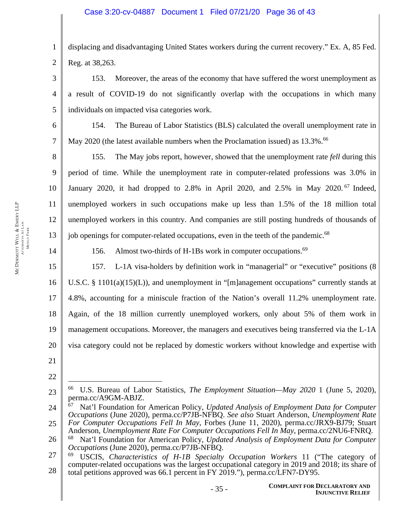1 2 displacing and disadvantaging United States workers during the current recovery." Ex. A, 85 Fed. Reg. at 38,263.

3 4 5 153. Moreover, the areas of the economy that have suffered the worst unemployment as a result of COVID-19 do not significantly overlap with the occupations in which many individuals on impacted visa categories work.

154. The Bureau of Labor Statistics (BLS) calculated the overall unemployment rate in May 2020 (the latest available numbers when the Proclamation issued) as 13.3%.<sup>66</sup>

8 9 10 11 12 13 155. The May jobs report, however, showed that the unemployment rate *fell* during this period of time. While the unemployment rate in computer-related professions was 3.0% in January 2020, it had dropped to 2.8% in April 2020, and 2.5% in May 2020. 67 Indeed, unemployed workers in such occupations make up less than 1.5% of the 18 million total unemployed workers in this country. And companies are still posting hundreds of thousands of job openings for computer-related occupations, even in the teeth of the pandemic.<sup>68</sup>

156. Almost two-thirds of H-1Bs work in computer occupations.<sup>69</sup>

15 16 17 18 19 20 157. L-1A visa-holders by definition work in "managerial" or "executive" positions (8 U.S.C. § 1101(a)(15)(L)), and unemployment in "[m]anagement occupations" currently stands at 4.8%, accounting for a miniscule fraction of the Nation's overall 11.2% unemployment rate. Again, of the 18 million currently unemployed workers, only about 5% of them work in management occupations. Moreover, the managers and executives being transferred via the L-1A visa category could not be replaced by domestic workers without knowledge and expertise with

21

22

 $\overline{a}$ 

14

6

<sup>23</sup>  66 U.S. Bureau of Labor Statistics, *The Employment Situation—May 2020* 1 (June 5, 2020), perma.cc/A9GM-ABJZ.

<sup>24</sup>  25 67 Nat'l Foundation for American Policy, *Updated Analysis of Employment Data for Computer Occupations* (June 2020), perma.cc/P7JB-NFBQ. *See also* Stuart Anderson, *Unemployment Rate For Computer Occupations Fell In May*, Forbes (June 11, 2020), perma.cc/JRX9-BJ79; Stuart

Anderson, *Unemployment Rate For Computer Occupations Fell In May*, perma.cc/2NU6-FNRQ.

<sup>26</sup>  68 Nat'l Foundation for American Policy, *Updated Analysis of Employment Data for Computer Occupations* (June 2020), perma.cc/P7JB-NFBQ.

<sup>27</sup>  28 69 USCIS, *Characteristics of H-1B Specialty Occupation Workers* 11 ("The category of computer-related occupations was the largest occupational category in 2019 and 2018; its share of total petitions approved was 66.1 percent in FY 2019."), perma.cc/LFN7-DY95.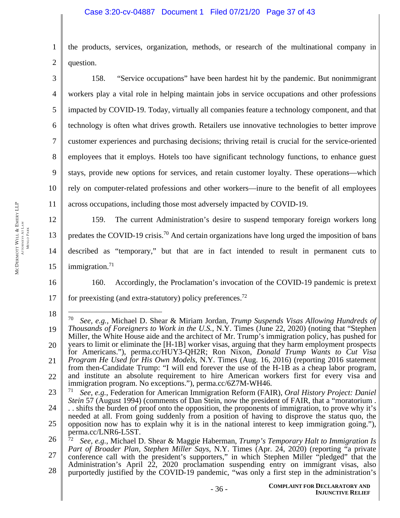1 2 the products, services, organization, methods, or research of the multinational company in question.

3 4 5 6 7 8 9 10 11 158. "Service occupations" have been hardest hit by the pandemic. But nonimmigrant workers play a vital role in helping maintain jobs in service occupations and other professions impacted by COVID-19. Today, virtually all companies feature a technology component, and that technology is often what drives growth. Retailers use innovative technologies to better improve customer experiences and purchasing decisions; thriving retail is crucial for the service-oriented employees that it employs. Hotels too have significant technology functions, to enhance guest stays, provide new options for services, and retain customer loyalty. These operations—which rely on computer-related professions and other workers—inure to the benefit of all employees across occupations, including those most adversely impacted by COVID-19.

12 13 14 15 159. The current Administration's desire to suspend temporary foreign workers long predates the COVID-19 crisis.<sup>70</sup> And certain organizations have long urged the imposition of bans described as "temporary," but that are in fact intended to result in permanent cuts to immigration. $71$ 

16

160. Accordingly, the Proclamation's invocation of the COVID-19 pandemic is pretext

17 for preexisting (and extra-statutory) policy preferences.<sup>72</sup>

<sup>18</sup>  19 20 21 22 23  $\overline{a}$ 70 *See, e.g.*, Michael D. Shear & Miriam Jordan, *Trump Suspends Visas Allowing Hundreds of Thousands of Foreigners to Work in the U.S.*, N.Y. Times (June 22, 2020) (noting that "Stephen Miller, the White House aide and the architect of Mr. Trump's immigration policy, has pushed for years to limit or eliminate the [H-1B] worker visas, arguing that they harm employment prospects for Americans."), perma.cc/HUY3-QH2R; Ron Nixon, *Donald Trump Wants to Cut Visa Program He Used for His Own Models*, N.Y. Times (Aug. 16, 2016) (reporting 2016 statement from then-Candidate Trump: "I will end forever the use of the H-1B as a cheap labor program, and institute an absolute requirement to hire American workers first for every visa and immigration program. No exceptions."), perma.cc/6Z7M-WH46. 71 *See, e.g.*, Federation for American Immigration Reform (FAIR), *Oral History Project: Daniel Stein* 57 (August 1994) (comments of Dan Stein, now the president of FAIR, that a "moratorium .

<sup>24</sup>  25 . . shifts the burden of proof onto the opposition, the proponents of immigration, to prove why it's needed at all. From going suddenly from a position of having to disprove the status quo, the opposition now has to explain why it is in the national interest to keep immigration going."), perma.cc/LNR6-L5ST.

<sup>26</sup>  27 28 72 *See, e.g.*, Michael D. Shear & Maggie Haberman, *Trump's Temporary Halt to Immigration Is Part of Broader Plan, Stephen Miller Says*, N.Y. Times (Apr. 24, 2020) (reporting "a private conference call with the president's supporters," in which Stephen Miller "pledged" that the Administration's April 22, 2020 proclamation suspending entry on immigrant visas, also purportedly justified by the COVID-19 pandemic, "was only a first step in the administration's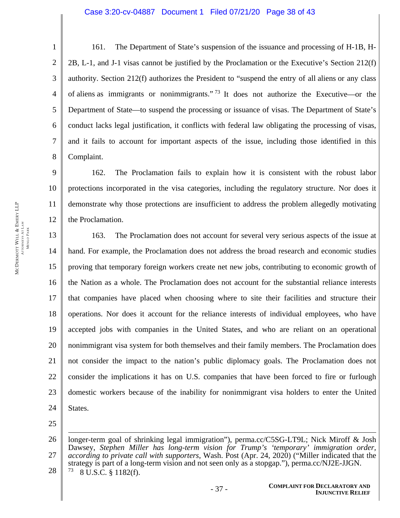### Case 3:20-cv-04887 Document 1 Filed 07/21/20 Page 38 of 43

161. The Department of State's suspension of the issuance and processing of H-1B, H-2B, L-1, and J-1 visas cannot be justified by the Proclamation or the Executive's Section 212(f) authority. Section 212(f) authorizes the President to "suspend the entry of all aliens or any class of aliens as immigrants or nonimmigrants." <sup>73</sup> It does not authorize the Executive—or the Department of State—to suspend the processing or issuance of visas. The Department of State's conduct lacks legal justification, it conflicts with federal law obligating the processing of visas, and it fails to account for important aspects of the issue, including those identified in this Complaint.

9 10 11 12 162. The Proclamation fails to explain how it is consistent with the robust labor protections incorporated in the visa categories, including the regulatory structure. Nor does it demonstrate why those protections are insufficient to address the problem allegedly motivating the Proclamation.

13 14 15 16 17 18 19 20 21 22 23 24 163. The Proclamation does not account for several very serious aspects of the issue at hand. For example, the Proclamation does not address the broad research and economic studies proving that temporary foreign workers create net new jobs, contributing to economic growth of the Nation as a whole. The Proclamation does not account for the substantial reliance interests that companies have placed when choosing where to site their facilities and structure their operations. Nor does it account for the reliance interests of individual employees, who have accepted jobs with companies in the United States, and who are reliant on an operational nonimmigrant visa system for both themselves and their family members. The Proclamation does not consider the impact to the nation's public diplomacy goals. The Proclamation does not consider the implications it has on U.S. companies that have been forced to fire or furlough domestic workers because of the inability for nonimmigrant visa holders to enter the United States.

25

 $\overline{a}$ 

26 27 28 longer-term goal of shrinking legal immigration"), perma.cc/C5SG-LT9L; Nick Miroff & Josh Dawsey, *Stephen Miller has long-term vision for Trump's 'temporary' immigration order,*  according to private call with supporters, Wash. Post (Apr. 24, 2020) ("Miller indicated that the strategy is part of a long-term vision and not seen only as a stopgap."), perma.cc/NJ2E-JJGN.  $73$  8 U.S.C. § 1182(f).

1

2

3

4

5

6

7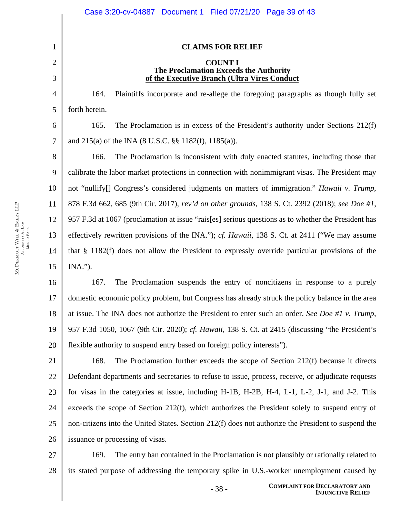| 1              | <b>CLAIMS FOR RELIEF</b>                                                                            |  |  |
|----------------|-----------------------------------------------------------------------------------------------------|--|--|
| $\overline{2}$ | <b>COUNT I</b>                                                                                      |  |  |
| 3              | The Proclamation Exceeds the Authority<br>of the Executive Branch (Ultra Vires Conduct              |  |  |
| 4              | Plaintiffs incorporate and re-allege the foregoing paragraphs as though fully set<br>164.           |  |  |
| 5              | forth herein.                                                                                       |  |  |
| 6              | 165.<br>The Proclamation is in excess of the President's authority under Sections $212(f)$          |  |  |
| 7              | and 215(a) of the INA (8 U.S.C. §§ 1182(f), 1185(a)).                                               |  |  |
| 8              | The Proclamation is inconsistent with duly enacted statutes, including those that<br>166.           |  |  |
| 9              | calibrate the labor market protections in connection with nonimmigrant visas. The President may     |  |  |
| 10             | not "nullify[] Congress's considered judgments on matters of immigration." Hawaii v. Trump,         |  |  |
| 11             | 878 F.3d 662, 685 (9th Cir. 2017), rev'd on other grounds, 138 S. Ct. 2392 (2018); see Doe #1,      |  |  |
| 12             | 957 F.3d at 1067 (proclamation at issue "rais[es] serious questions as to whether the President has |  |  |
| 13             | effectively rewritten provisions of the INA."); cf. Hawaii, 138 S. Ct. at 2411 ("We may assume      |  |  |
| 14             | that $\S$ 1182(f) does not allow the President to expressly override particular provisions of the   |  |  |
| 15             | $INA.$ ").                                                                                          |  |  |
| 16             | 167.<br>The Proclamation suspends the entry of noncitizens in response to a purely                  |  |  |
| 17             | domestic economic policy problem, but Congress has already struck the policy balance in the area    |  |  |
| 18             | at issue. The INA does not authorize the President to enter such an order. See Doe #1 v. Trump,     |  |  |
| 19             | 957 F.3d 1050, 1067 (9th Cir. 2020); cf. Hawaii, 138 S. Ct. at 2415 (discussing "the President's    |  |  |
| 20             | flexible authority to suspend entry based on foreign policy interests").                            |  |  |
| 21             | 168.<br>The Proclamation further exceeds the scope of Section 212(f) because it directs             |  |  |
| 22             | Defendant departments and secretaries to refuse to issue, process, receive, or adjudicate requests  |  |  |
| 23             | for visas in the categories at issue, including H-1B, H-2B, H-4, L-1, L-2, J-1, and J-2. This       |  |  |
| 24             | exceeds the scope of Section 212(f), which authorizes the President solely to suspend entry of      |  |  |

26 issuance or processing of visas.

25

27 28 169. The entry ban contained in the Proclamation is not plausibly or rationally related to its stated purpose of addressing the temporary spike in U.S.-worker unemployment caused by

non-citizens into the United States. Section 212(f) does not authorize the President to suspend the

 $\mathbb{I}$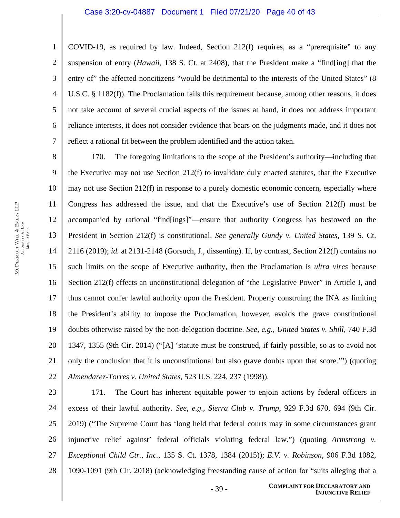COVID-19, as required by law. Indeed, Section 212(f) requires, as a "prerequisite" to any suspension of entry (*Hawaii*, 138 S. Ct. at 2408), that the President make a "find[ing] that the entry of" the affected noncitizens "would be detrimental to the interests of the United States" (8 U.S.C. § 1182(f)). The Proclamation fails this requirement because, among other reasons, it does not take account of several crucial aspects of the issues at hand, it does not address important reliance interests, it does not consider evidence that bears on the judgments made, and it does not reflect a rational fit between the problem identified and the action taken.

8 9 10 11 12 13 14 15 16 17 18 19 20 21 22 170. The foregoing limitations to the scope of the President's authority—including that the Executive may not use Section 212(f) to invalidate duly enacted statutes, that the Executive may not use Section 212(f) in response to a purely domestic economic concern, especially where Congress has addressed the issue, and that the Executive's use of Section 212(f) must be accompanied by rational "find[ings]"—ensure that authority Congress has bestowed on the President in Section 212(f) is constitutional. *See generally Gundy v. United States*, 139 S. Ct. 2116 (2019); *id.* at 2131-2148 (Gorsuch, J., dissenting). If, by contrast, Section 212(f) contains no such limits on the scope of Executive authority, then the Proclamation is *ultra vires* because Section 212(f) effects an unconstitutional delegation of "the Legislative Power" in Article I, and thus cannot confer lawful authority upon the President. Properly construing the INA as limiting the President's ability to impose the Proclamation, however, avoids the grave constitutional doubts otherwise raised by the non-delegation doctrine. *See, e.g.*, *United States v. Shill*, 740 F.3d 1347, 1355 (9th Cir. 2014) ("[A] 'statute must be construed, if fairly possible, so as to avoid not only the conclusion that it is unconstitutional but also grave doubts upon that score.'") (quoting *Almendarez-Torres v. United States*, 523 U.S. 224, 237 (1998)).

23 24 25 26 27 28 171. The Court has inherent equitable power to enjoin actions by federal officers in excess of their lawful authority. *See, e.g.*, *Sierra Club v. Trump*, 929 F.3d 670, 694 (9th Cir. 2019) ("The Supreme Court has 'long held that federal courts may in some circumstances grant injunctive relief against' federal officials violating federal law.") (quoting *Armstrong v. Exceptional Child Ctr., Inc.*, 135 S. Ct. 1378, 1384 (2015)); *E.V. v. Robinson*, 906 F.3d 1082, 1090-1091 (9th Cir. 2018) (acknowledging freestanding cause of action for "suits alleging that a

1

2

3

4

5

6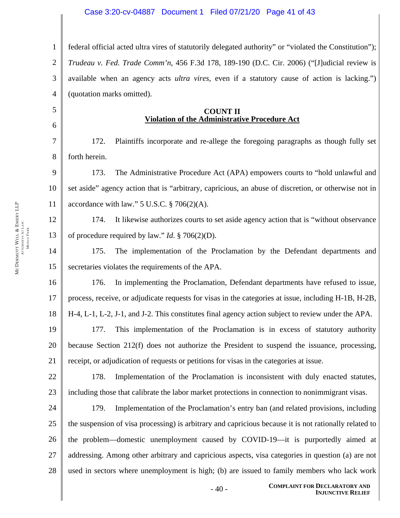1 2 3 4 federal official acted ultra vires of statutorily delegated authority" or "violated the Constitution"); *Trudeau v. Fed. Trade Comm'n*, 456 F.3d 178, 189-190 (D.C. Cir. 2006) ("[J]udicial review is available when an agency acts *ultra vires*, even if a statutory cause of action is lacking.") (quotation marks omitted).

#### **COUNT II Violation of the Administrative Procedure Act**

172. Plaintiffs incorporate and re-allege the foregoing paragraphs as though fully set forth herein.

9 10 11 173. The Administrative Procedure Act (APA) empowers courts to "hold unlawful and set aside" agency action that is "arbitrary, capricious, an abuse of discretion, or otherwise not in accordance with law."  $5$  U.S.C.  $\S$  706(2)(A).

12 13 174. It likewise authorizes courts to set aside agency action that is "without observance of procedure required by law." *Id*. § 706(2)(D).

14 15 175. The implementation of the Proclamation by the Defendant departments and secretaries violates the requirements of the APA.

16 17 18 176. In implementing the Proclamation, Defendant departments have refused to issue, process, receive, or adjudicate requests for visas in the categories at issue, including H-1B, H-2B, H-4, L-1, L-2, J-1, and J-2. This constitutes final agency action subject to review under the APA.

19 20 21 177. This implementation of the Proclamation is in excess of statutory authority because Section 212(f) does not authorize the President to suspend the issuance, processing, receipt, or adjudication of requests or petitions for visas in the categories at issue.

22 23 178. Implementation of the Proclamation is inconsistent with duly enacted statutes, including those that calibrate the labor market protections in connection to nonimmigrant visas.

24 25 26 27 28 179. Implementation of the Proclamation's entry ban (and related provisions, including the suspension of visa processing) is arbitrary and capricious because it is not rationally related to the problem—domestic unemployment caused by COVID-19—it is purportedly aimed at addressing. Among other arbitrary and capricious aspects, visa categories in question (a) are not used in sectors where unemployment is high; (b) are issued to family members who lack work

5

6

7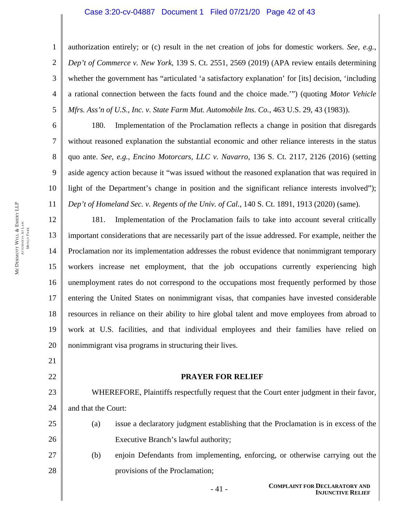### Case 3:20-cv-04887 Document 1 Filed 07/21/20 Page 42 of 43

1 2 3 4 5 authorization entirely; or (c) result in the net creation of jobs for domestic workers. *See, e.g.*, *Dep't of Commerce v. New York*, 139 S. Ct. 2551, 2569 (2019) (APA review entails determining whether the government has "articulated 'a satisfactory explanation' for [its] decision, 'including a rational connection between the facts found and the choice made.'") (quoting *Motor Vehicle Mfrs. Ass'n of U.S., Inc. v. State Farm Mut. Automobile Ins. Co.*, 463 U.S. 29, 43 (1983)).

6 10 180. Implementation of the Proclamation reflects a change in position that disregards without reasoned explanation the substantial economic and other reliance interests in the status quo ante. *See, e.g.*, *Encino Motorcars, LLC v. Navarro*, 136 S. Ct. 2117, 2126 (2016) (setting aside agency action because it "was issued without the reasoned explanation that was required in light of the Department's change in position and the significant reliance interests involved"); *Dep't of Homeland Sec. v. Regents of the Univ. of Cal.*, 140 S. Ct. 1891, 1913 (2020) (same).

12 13 14 15 16 17 18 19 20 181. Implementation of the Proclamation fails to take into account several critically important considerations that are necessarily part of the issue addressed. For example, neither the Proclamation nor its implementation addresses the robust evidence that nonimmigrant temporary workers increase net employment, that the job occupations currently experiencing high unemployment rates do not correspond to the occupations most frequently performed by those entering the United States on nonimmigrant visas, that companies have invested considerable resources in reliance on their ability to hire global talent and move employees from abroad to work at U.S. facilities, and that individual employees and their families have relied on nonimmigrant visa programs in structuring their lives.

21 22

7

8

9

11

### **PRAYER FOR RELIEF**

23 24 WHEREFORE, Plaintiffs respectfully request that the Court enter judgment in their favor, and that the Court:

- 25 26 (a) issue a declaratory judgment establishing that the Proclamation is in excess of the Executive Branch's lawful authority;
- 27 28 (b) enjoin Defendants from implementing, enforcing, or otherwise carrying out the provisions of the Proclamation;